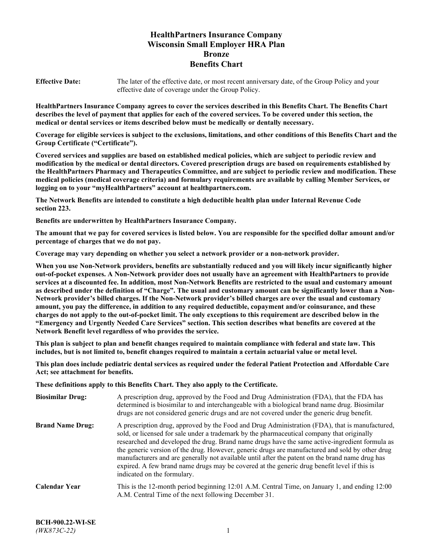# **HealthPartners Insurance Company Wisconsin Small Employer HRA Plan Bronze Benefits Chart**

**Effective Date:** The later of the effective date, or most recent anniversary date, of the Group Policy and your effective date of coverage under the Group Policy.

**HealthPartners Insurance Company agrees to cover the services described in this Benefits Chart. The Benefits Chart describes the level of payment that applies for each of the covered services. To be covered under this section, the medical or dental services or items described below must be medically or dentally necessary.**

**Coverage for eligible services is subject to the exclusions, limitations, and other conditions of this Benefits Chart and the Group Certificate ("Certificate").**

**Covered services and supplies are based on established medical policies, which are subject to periodic review and modification by the medical or dental directors. Covered prescription drugs are based on requirements established by the HealthPartners Pharmacy and Therapeutics Committee, and are subject to periodic review and modification. These medical policies (medical coverage criteria) and formulary requirements are available by calling Member Services, or logging on to your "myHealthPartners" account at [healthpartners.com.](https://www.healthpartners.com/hp/index.html)**

**The Network Benefits are intended to constitute a high deductible health plan under Internal Revenue Code section 223.**

**Benefits are underwritten by HealthPartners Insurance Company.**

**The amount that we pay for covered services is listed below. You are responsible for the specified dollar amount and/or percentage of charges that we do not pay.**

**Coverage may vary depending on whether you select a network provider or a non-network provider.**

**When you use Non-Network providers, benefits are substantially reduced and you will likely incur significantly higher out-of-pocket expenses. A Non-Network provider does not usually have an agreement with HealthPartners to provide services at a discounted fee. In addition, most Non-Network Benefits are restricted to the usual and customary amount as described under the definition of "Charge". The usual and customary amount can be significantly lower than a Non-Network provider's billed charges. If the Non-Network provider's billed charges are over the usual and customary amount, you pay the difference, in addition to any required deductible, copayment and/or coinsurance, and these charges do not apply to the out-of-pocket limit. The only exceptions to this requirement are described below in the "Emergency and Urgently Needed Care Services" section. This section describes what benefits are covered at the Network Benefit level regardless of who provides the service.**

**This plan is subject to plan and benefit changes required to maintain compliance with federal and state law. This includes, but is not limited to, benefit changes required to maintain a certain actuarial value or metal level.**

**This plan does include pediatric dental services as required under the federal Patient Protection and Affordable Care Act; see attachment for benefits.**

**These definitions apply to this Benefits Chart. They also apply to the Certificate.**

| <b>Biosimilar Drug:</b> | A prescription drug, approved by the Food and Drug Administration (FDA), that the FDA has<br>determined is biosimilar to and interchangeable with a biological brand name drug. Biosimilar<br>drugs are not considered generic drugs and are not covered under the generic drug benefit.                                                                                                                                                                                                                                                                                                                                           |
|-------------------------|------------------------------------------------------------------------------------------------------------------------------------------------------------------------------------------------------------------------------------------------------------------------------------------------------------------------------------------------------------------------------------------------------------------------------------------------------------------------------------------------------------------------------------------------------------------------------------------------------------------------------------|
| <b>Brand Name Drug:</b> | A prescription drug, approved by the Food and Drug Administration (FDA), that is manufactured,<br>sold, or licensed for sale under a trademark by the pharmaceutical company that originally<br>researched and developed the drug. Brand name drugs have the same active-ingredient formula as<br>the generic version of the drug. However, generic drugs are manufactured and sold by other drug<br>manufacturers and are generally not available until after the patent on the brand name drug has<br>expired. A few brand name drugs may be covered at the generic drug benefit level if this is<br>indicated on the formulary. |
| <b>Calendar Year</b>    | This is the 12-month period beginning 12:01 A.M. Central Time, on January 1, and ending 12:00<br>A.M. Central Time of the next following December 31.                                                                                                                                                                                                                                                                                                                                                                                                                                                                              |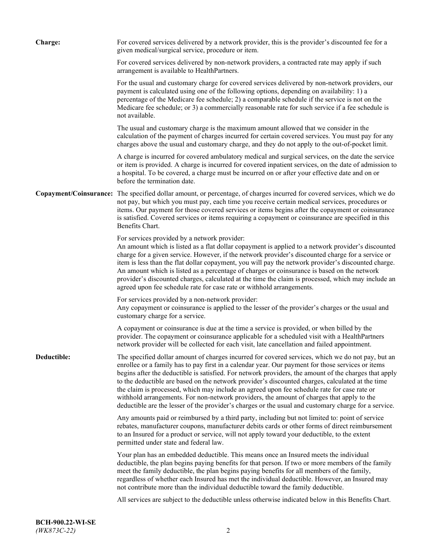| <b>Charge:</b> | For covered services delivered by a network provider, this is the provider's discounted fee for a<br>given medical/surgical service, procedure or item.                                                                                                                                                                                                                                                                                                                                                                                                                                                                                                                                                                 |
|----------------|-------------------------------------------------------------------------------------------------------------------------------------------------------------------------------------------------------------------------------------------------------------------------------------------------------------------------------------------------------------------------------------------------------------------------------------------------------------------------------------------------------------------------------------------------------------------------------------------------------------------------------------------------------------------------------------------------------------------------|
|                | For covered services delivered by non-network providers, a contracted rate may apply if such<br>arrangement is available to HealthPartners.                                                                                                                                                                                                                                                                                                                                                                                                                                                                                                                                                                             |
|                | For the usual and customary charge for covered services delivered by non-network providers, our<br>payment is calculated using one of the following options, depending on availability: 1) a<br>percentage of the Medicare fee schedule; 2) a comparable schedule if the service is not on the<br>Medicare fee schedule; or 3) a commercially reasonable rate for such service if a fee schedule is<br>not available.                                                                                                                                                                                                                                                                                                   |
|                | The usual and customary charge is the maximum amount allowed that we consider in the<br>calculation of the payment of charges incurred for certain covered services. You must pay for any<br>charges above the usual and customary charge, and they do not apply to the out-of-pocket limit.                                                                                                                                                                                                                                                                                                                                                                                                                            |
|                | A charge is incurred for covered ambulatory medical and surgical services, on the date the service<br>or item is provided. A charge is incurred for covered inpatient services, on the date of admission to<br>a hospital. To be covered, a charge must be incurred on or after your effective date and on or<br>before the termination date.                                                                                                                                                                                                                                                                                                                                                                           |
|                | Copayment/Coinsurance: The specified dollar amount, or percentage, of charges incurred for covered services, which we do<br>not pay, but which you must pay, each time you receive certain medical services, procedures or<br>items. Our payment for those covered services or items begins after the copayment or coinsurance<br>is satisfied. Covered services or items requiring a copayment or coinsurance are specified in this<br>Benefits Chart.                                                                                                                                                                                                                                                                 |
|                | For services provided by a network provider:<br>An amount which is listed as a flat dollar copayment is applied to a network provider's discounted<br>charge for a given service. However, if the network provider's discounted charge for a service or<br>item is less than the flat dollar copayment, you will pay the network provider's discounted charge.<br>An amount which is listed as a percentage of charges or coinsurance is based on the network<br>provider's discounted charges, calculated at the time the claim is processed, which may include an<br>agreed upon fee schedule rate for case rate or withhold arrangements.                                                                            |
|                | For services provided by a non-network provider:<br>Any copayment or coinsurance is applied to the lesser of the provider's charges or the usual and<br>customary charge for a service.                                                                                                                                                                                                                                                                                                                                                                                                                                                                                                                                 |
|                | A copayment or coinsurance is due at the time a service is provided, or when billed by the<br>provider. The copayment or coinsurance applicable for a scheduled visit with a HealthPartners<br>network provider will be collected for each visit, late cancellation and failed appointment.                                                                                                                                                                                                                                                                                                                                                                                                                             |
| Deductible:    | The specified dollar amount of charges incurred for covered services, which we do not pay, but an<br>enrollee or a family has to pay first in a calendar year. Our payment for those services or items<br>begins after the deductible is satisfied. For network providers, the amount of the charges that apply<br>to the deductible are based on the network provider's discounted charges, calculated at the time<br>the claim is processed, which may include an agreed upon fee schedule rate for case rate or<br>withhold arrangements. For non-network providers, the amount of charges that apply to the<br>deductible are the lesser of the provider's charges or the usual and customary charge for a service. |
|                | Any amounts paid or reimbursed by a third party, including but not limited to: point of service<br>rebates, manufacturer coupons, manufacturer debits cards or other forms of direct reimbursement<br>to an Insured for a product or service, will not apply toward your deductible, to the extent<br>permitted under state and federal law.                                                                                                                                                                                                                                                                                                                                                                            |
|                | Your plan has an embedded deductible. This means once an Insured meets the individual<br>deductible, the plan begins paying benefits for that person. If two or more members of the family<br>meet the family deductible, the plan begins paying benefits for all members of the family,<br>regardless of whether each Insured has met the individual deductible. However, an Insured may<br>not contribute more than the individual deductible toward the family deductible.                                                                                                                                                                                                                                           |
|                | All services are subject to the deductible unless otherwise indicated below in this Benefits Chart.                                                                                                                                                                                                                                                                                                                                                                                                                                                                                                                                                                                                                     |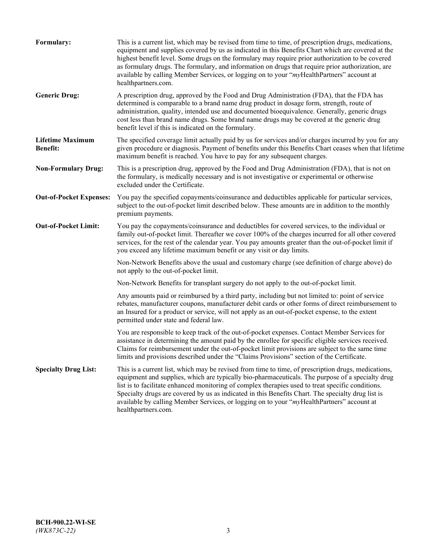| Formulary:                                 | This is a current list, which may be revised from time to time, of prescription drugs, medications,<br>equipment and supplies covered by us as indicated in this Benefits Chart which are covered at the<br>highest benefit level. Some drugs on the formulary may require prior authorization to be covered<br>as formulary drugs. The formulary, and information on drugs that require prior authorization, are<br>available by calling Member Services, or logging on to your "myHealthPartners" account at<br>healthpartners.com. |
|--------------------------------------------|---------------------------------------------------------------------------------------------------------------------------------------------------------------------------------------------------------------------------------------------------------------------------------------------------------------------------------------------------------------------------------------------------------------------------------------------------------------------------------------------------------------------------------------|
| <b>Generic Drug:</b>                       | A prescription drug, approved by the Food and Drug Administration (FDA), that the FDA has<br>determined is comparable to a brand name drug product in dosage form, strength, route of<br>administration, quality, intended use and documented bioequivalence. Generally, generic drugs<br>cost less than brand name drugs. Some brand name drugs may be covered at the generic drug<br>benefit level if this is indicated on the formulary.                                                                                           |
| <b>Lifetime Maximum</b><br><b>Benefit:</b> | The specified coverage limit actually paid by us for services and/or charges incurred by you for any<br>given procedure or diagnosis. Payment of benefits under this Benefits Chart ceases when that lifetime<br>maximum benefit is reached. You have to pay for any subsequent charges.                                                                                                                                                                                                                                              |
| <b>Non-Formulary Drug:</b>                 | This is a prescription drug, approved by the Food and Drug Administration (FDA), that is not on<br>the formulary, is medically necessary and is not investigative or experimental or otherwise<br>excluded under the Certificate.                                                                                                                                                                                                                                                                                                     |
| <b>Out-of-Pocket Expenses:</b>             | You pay the specified copayments/coinsurance and deductibles applicable for particular services,<br>subject to the out-of-pocket limit described below. These amounts are in addition to the monthly<br>premium payments.                                                                                                                                                                                                                                                                                                             |
| <b>Out-of-Pocket Limit:</b>                | You pay the copayments/coinsurance and deductibles for covered services, to the individual or<br>family out-of-pocket limit. Thereafter we cover 100% of the charges incurred for all other covered<br>services, for the rest of the calendar year. You pay amounts greater than the out-of-pocket limit if<br>you exceed any lifetime maximum benefit or any visit or day limits.                                                                                                                                                    |
|                                            | Non-Network Benefits above the usual and customary charge (see definition of charge above) do<br>not apply to the out-of-pocket limit.                                                                                                                                                                                                                                                                                                                                                                                                |
|                                            | Non-Network Benefits for transplant surgery do not apply to the out-of-pocket limit.                                                                                                                                                                                                                                                                                                                                                                                                                                                  |
|                                            | Any amounts paid or reimbursed by a third party, including but not limited to: point of service<br>rebates, manufacturer coupons, manufacturer debit cards or other forms of direct reimbursement to<br>an Insured for a product or service, will not apply as an out-of-pocket expense, to the extent<br>permitted under state and federal law.                                                                                                                                                                                      |
|                                            | You are responsible to keep track of the out-of-pocket expenses. Contact Member Services for<br>assistance in determining the amount paid by the enrollee for specific eligible services received.<br>Claims for reimbursement under the out-of-pocket limit provisions are subject to the same time<br>limits and provisions described under the "Claims Provisions" section of the Certificate.                                                                                                                                     |
| <b>Specialty Drug List:</b>                | This is a current list, which may be revised from time to time, of prescription drugs, medications,<br>equipment and supplies, which are typically bio-pharmaceuticals. The purpose of a specialty drug<br>list is to facilitate enhanced monitoring of complex therapies used to treat specific conditions.<br>Specialty drugs are covered by us as indicated in this Benefits Chart. The specialty drug list is<br>available by calling Member Services, or logging on to your "myHealthPartners" account at<br>healthpartners.com. |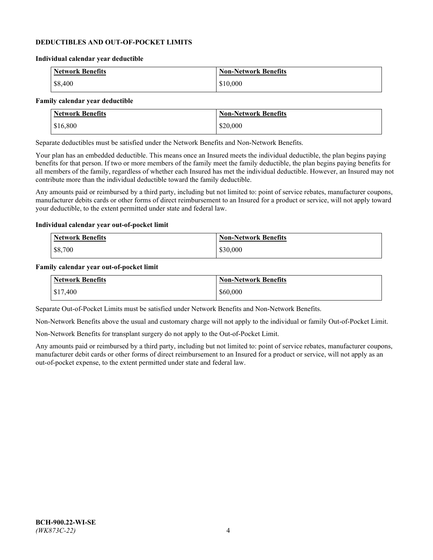### **DEDUCTIBLES AND OUT-OF-POCKET LIMITS**

#### **Individual calendar year deductible**

| <b>Network Benefits</b> | <b>Non-Network Benefits</b> |
|-------------------------|-----------------------------|
| \$8,400                 | \$10,000                    |

#### **Family calendar year deductible**

| <b>Network Benefits</b> | <b>Non-Network Benefits</b> |
|-------------------------|-----------------------------|
| \$16,800                | \$20,000                    |

Separate deductibles must be satisfied under the Network Benefits and Non-Network Benefits.

Your plan has an embedded deductible. This means once an Insured meets the individual deductible, the plan begins paying benefits for that person. If two or more members of the family meet the family deductible, the plan begins paying benefits for all members of the family, regardless of whether each Insured has met the individual deductible. However, an Insured may not contribute more than the individual deductible toward the family deductible.

Any amounts paid or reimbursed by a third party, including but not limited to: point of service rebates, manufacturer coupons, manufacturer debits cards or other forms of direct reimbursement to an Insured for a product or service, will not apply toward your deductible, to the extent permitted under state and federal law.

#### **Individual calendar year out-of-pocket limit**

| Network Benefits | <b>Non-Network Benefits</b> |
|------------------|-----------------------------|
| \$8,700          | \$30,000                    |

#### **Family calendar year out-of-pocket limit**

| Network Benefits | <b>Non-Network Benefits</b> |
|------------------|-----------------------------|
| \$17,400         | \$60,000                    |

Separate Out-of-Pocket Limits must be satisfied under Network Benefits and Non-Network Benefits.

Non-Network Benefits above the usual and customary charge will not apply to the individual or family Out-of-Pocket Limit.

Non-Network Benefits for transplant surgery do not apply to the Out-of-Pocket Limit.

Any amounts paid or reimbursed by a third party, including but not limited to: point of service rebates, manufacturer coupons, manufacturer debit cards or other forms of direct reimbursement to an Insured for a product or service, will not apply as an out-of-pocket expense, to the extent permitted under state and federal law.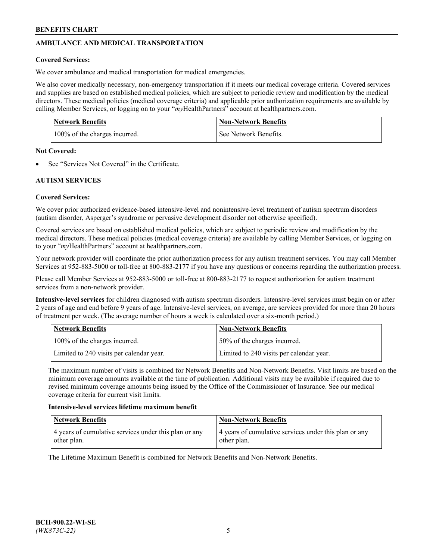# **AMBULANCE AND MEDICAL TRANSPORTATION**

# **Covered Services:**

We cover ambulance and medical transportation for medical emergencies.

We also cover medically necessary, non-emergency transportation if it meets our medical coverage criteria. Covered services and supplies are based on established medical policies, which are subject to periodic review and modification by the medical directors. These medical policies (medical coverage criteria) and applicable prior authorization requirements are available by calling Member Services, or logging on to your "*my*HealthPartners" account a[t healthpartners.com.](https://www.healthpartners.com/hp/index.html)

| <b>Network Benefits</b>       | <b>Non-Network Benefits</b> |
|-------------------------------|-----------------------------|
| 100% of the charges incurred. | See Network Benefits.       |

## **Not Covered:**

See "Services Not Covered" in the Certificate.

# **AUTISM SERVICES**

# **Covered Services:**

We cover prior authorized evidence-based intensive-level and nonintensive-level treatment of autism spectrum disorders (autism disorder, Asperger's syndrome or pervasive development disorder not otherwise specified).

Covered services are based on established medical policies, which are subject to periodic review and modification by the medical directors. These medical policies (medical coverage criteria) are available by calling Member Services, or logging on to your "*my*HealthPartners" account at [healthpartners.com.](https://www.healthpartners.com/hp/index.html)

Your network provider will coordinate the prior authorization process for any autism treatment services. You may call Member Services at 952-883-5000 or toll-free at 800-883-2177 if you have any questions or concerns regarding the authorization process.

Please call Member Services at 952-883-5000 or toll-free at 800-883-2177 to request authorization for autism treatment services from a non-network provider.

**Intensive-level services** for children diagnosed with autism spectrum disorders. Intensive-level services must begin on or after 2 years of age and end before 9 years of age. Intensive-level services, on average, are services provided for more than 20 hours of treatment per week. (The average number of hours a week is calculated over a six-month period.)

| Network Benefits                         | <b>Non-Network Benefits</b>              |
|------------------------------------------|------------------------------------------|
| 100% of the charges incurred.            | 50% of the charges incurred.             |
| Limited to 240 visits per calendar year. | Limited to 240 visits per calendar year. |

The maximum number of visits is combined for Network Benefits and Non-Network Benefits. Visit limits are based on the minimum coverage amounts available at the time of publication. Additional visits may be available if required due to revised minimum coverage amounts being issued by the Office of the Commissioner of Insurance. See our medical coverage criteria for current visit limits.

## **Intensive-level services lifetime maximum benefit**

| Network Benefits                                                     | <b>Non-Network Benefits</b>                                          |
|----------------------------------------------------------------------|----------------------------------------------------------------------|
| 4 years of cumulative services under this plan or any<br>other plan. | 4 years of cumulative services under this plan or any<br>other plan. |

The Lifetime Maximum Benefit is combined for Network Benefits and Non-Network Benefits.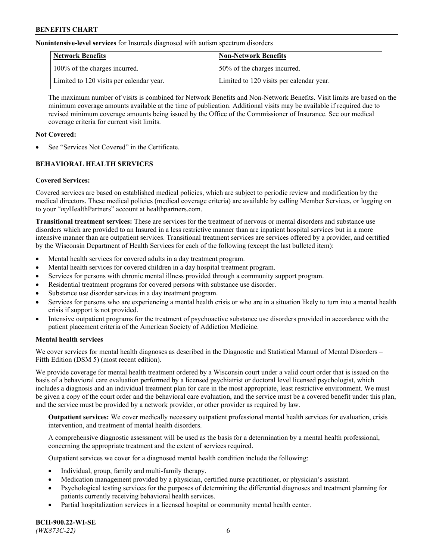**Nonintensive-level services** for Insureds diagnosed with autism spectrum disorders

| Network Benefits                         | <b>Non-Network Benefits</b>              |
|------------------------------------------|------------------------------------------|
| 100% of the charges incurred.            | 50% of the charges incurred.             |
| Limited to 120 visits per calendar year. | Limited to 120 visits per calendar year. |

The maximum number of visits is combined for Network Benefits and Non-Network Benefits. Visit limits are based on the minimum coverage amounts available at the time of publication. Additional visits may be available if required due to revised minimum coverage amounts being issued by the Office of the Commissioner of Insurance. See our medical coverage criteria for current visit limits.

# **Not Covered:**

See "Services Not Covered" in the Certificate.

# **BEHAVIORAL HEALTH SERVICES**

## **Covered Services:**

Covered services are based on established medical policies, which are subject to periodic review and modification by the medical directors. These medical policies (medical coverage criteria) are available by calling Member Services, or logging on to your "*my*HealthPartners" account at [healthpartners.com.](https://www.healthpartners.com/hp/index.html)

**Transitional treatment services:** These are services for the treatment of nervous or mental disorders and substance use disorders which are provided to an Insured in a less restrictive manner than are inpatient hospital services but in a more intensive manner than are outpatient services. Transitional treatment services are services offered by a provider, and certified by the Wisconsin Department of Health Services for each of the following (except the last bulleted item):

- Mental health services for covered adults in a day treatment program.
- Mental health services for covered children in a day hospital treatment program.
- Services for persons with chronic mental illness provided through a community support program.
- Residential treatment programs for covered persons with substance use disorder.
- Substance use disorder services in a day treatment program.
- Services for persons who are experiencing a mental health crisis or who are in a situation likely to turn into a mental health crisis if support is not provided.
- Intensive outpatient programs for the treatment of psychoactive substance use disorders provided in accordance with the patient placement criteria of the American Society of Addiction Medicine.

## **Mental health services**

We cover services for mental health diagnoses as described in the Diagnostic and Statistical Manual of Mental Disorders – Fifth Edition (DSM 5) (most recent edition).

We provide coverage for mental health treatment ordered by a Wisconsin court under a valid court order that is issued on the basis of a behavioral care evaluation performed by a licensed psychiatrist or doctoral level licensed psychologist, which includes a diagnosis and an individual treatment plan for care in the most appropriate, least restrictive environment. We must be given a copy of the court order and the behavioral care evaluation, and the service must be a covered benefit under this plan, and the service must be provided by a network provider, or other provider as required by law.

**Outpatient services:** We cover medically necessary outpatient professional mental health services for evaluation, crisis intervention, and treatment of mental health disorders.

A comprehensive diagnostic assessment will be used as the basis for a determination by a mental health professional, concerning the appropriate treatment and the extent of services required.

Outpatient services we cover for a diagnosed mental health condition include the following:

- Individual, group, family and multi-family therapy.
- Medication management provided by a physician, certified nurse practitioner, or physician's assistant.
- Psychological testing services for the purposes of determining the differential diagnoses and treatment planning for patients currently receiving behavioral health services.
- Partial hospitalization services in a licensed hospital or community mental health center.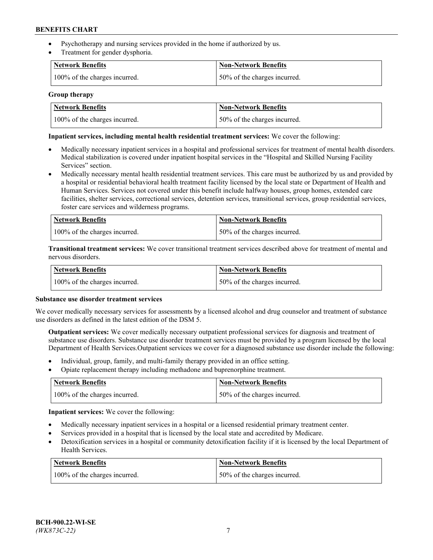- Psychotherapy and nursing services provided in the home if authorized by us.
- Treatment for gender dysphoria.

| <b>Network Benefits</b>       | <b>Non-Network Benefits</b>  |
|-------------------------------|------------------------------|
| 100% of the charges incurred. | 50% of the charges incurred. |

### **Group therapy**

| Network Benefits              | Non-Network Benefits          |
|-------------------------------|-------------------------------|
| 100% of the charges incurred. | 150% of the charges incurred. |

### **Inpatient services, including mental health residential treatment services:** We cover the following:

- Medically necessary inpatient services in a hospital and professional services for treatment of mental health disorders. Medical stabilization is covered under inpatient hospital services in the "Hospital and Skilled Nursing Facility Services" section.
- Medically necessary mental health residential treatment services. This care must be authorized by us and provided by a hospital or residential behavioral health treatment facility licensed by the local state or Department of Health and Human Services. Services not covered under this benefit include halfway houses, group homes, extended care facilities, shelter services, correctional services, detention services, transitional services, group residential services, foster care services and wilderness programs.

| Network Benefits              | Non-Network Benefits         |
|-------------------------------|------------------------------|
| 100% of the charges incurred. | 50% of the charges incurred. |

**Transitional treatment services:** We cover transitional treatment services described above for treatment of mental and nervous disorders.

| <b>Network Benefits</b>       | Non-Network Benefits         |
|-------------------------------|------------------------------|
| 100% of the charges incurred. | 50% of the charges incurred. |

#### **Substance use disorder treatment services**

We cover medically necessary services for assessments by a licensed alcohol and drug counselor and treatment of substance use disorders as defined in the latest edition of the DSM 5.

**Outpatient services:** We cover medically necessary outpatient professional services for diagnosis and treatment of substance use disorders. Substance use disorder treatment services must be provided by a program licensed by the local Department of Health Services.Outpatient services we cover for a diagnosed substance use disorder include the following:

- Individual, group, family, and multi-family therapy provided in an office setting.
- Opiate replacement therapy including methadone and buprenorphine treatment.

| Network Benefits              | Non-Network Benefits         |
|-------------------------------|------------------------------|
| 100% of the charges incurred. | 50% of the charges incurred. |

**Inpatient services:** We cover the following:

- Medically necessary inpatient services in a hospital or a licensed residential primary treatment center.
- Services provided in a hospital that is licensed by the local state and accredited by Medicare.
- Detoxification services in a hospital or community detoxification facility if it is licensed by the local Department of Health Services.

| Network Benefits              | <b>Non-Network Benefits</b>  |
|-------------------------------|------------------------------|
| 100% of the charges incurred. | 50% of the charges incurred. |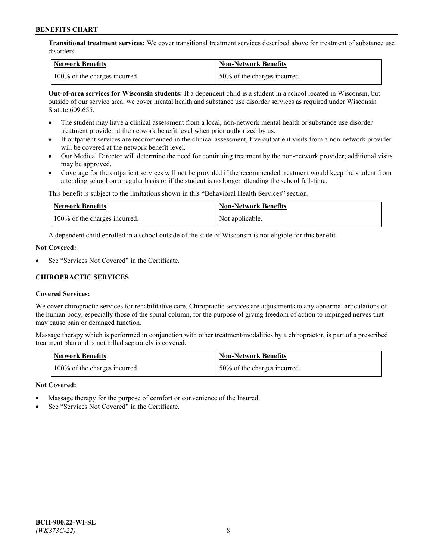**Transitional treatment services:** We cover transitional treatment services described above for treatment of substance use disorders.

| Network Benefits              | Non-Network Benefits          |
|-------------------------------|-------------------------------|
| 100% of the charges incurred. | 150% of the charges incurred. |

**Out-of-area services for Wisconsin students:** If a dependent child is a student in a school located in Wisconsin, but outside of our service area, we cover mental health and substance use disorder services as required under Wisconsin Statute 609.655.

- The student may have a clinical assessment from a local, non-network mental health or substance use disorder treatment provider at the network benefit level when prior authorized by us.
- If outpatient services are recommended in the clinical assessment, five outpatient visits from a non-network provider will be covered at the network benefit level.
- Our Medical Director will determine the need for continuing treatment by the non-network provider; additional visits may be approved.
- Coverage for the outpatient services will not be provided if the recommended treatment would keep the student from attending school on a regular basis or if the student is no longer attending the school full-time.

This benefit is subject to the limitations shown in this "Behavioral Health Services" section.

| Network Benefits              | <b>Non-Network Benefits</b> |
|-------------------------------|-----------------------------|
| 100% of the charges incurred. | Not applicable.             |

A dependent child enrolled in a school outside of the state of Wisconsin is not eligible for this benefit.

### **Not Covered:**

See "Services Not Covered" in the Certificate.

# **CHIROPRACTIC SERVICES**

## **Covered Services:**

We cover chiropractic services for rehabilitative care. Chiropractic services are adjustments to any abnormal articulations of the human body, especially those of the spinal column, for the purpose of giving freedom of action to impinged nerves that may cause pain or deranged function.

Massage therapy which is performed in conjunction with other treatment/modalities by a chiropractor, is part of a prescribed treatment plan and is not billed separately is covered.

| <b>Network Benefits</b>       | <b>Non-Network Benefits</b>  |
|-------------------------------|------------------------------|
| 100% of the charges incurred. | 50% of the charges incurred. |

#### **Not Covered:**

- Massage therapy for the purpose of comfort or convenience of the Insured.
- See "Services Not Covered" in the Certificate.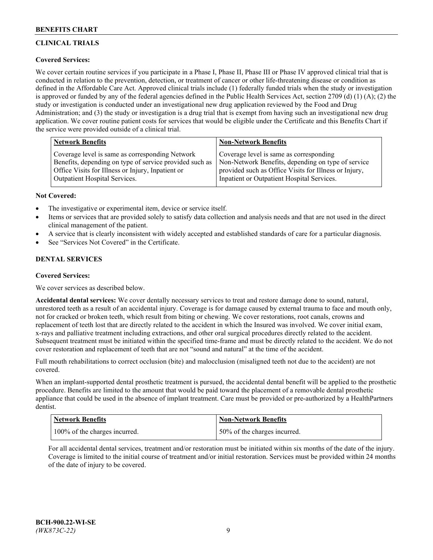# **CLINICAL TRIALS**

# **Covered Services:**

We cover certain routine services if you participate in a Phase I, Phase II, Phase III or Phase IV approved clinical trial that is conducted in relation to the prevention, detection, or treatment of cancer or other life-threatening disease or condition as defined in the Affordable Care Act. Approved clinical trials include (1) federally funded trials when the study or investigation is approved or funded by any of the federal agencies defined in the Public Health Services Act, section 2709 (d) (1) (A); (2) the study or investigation is conducted under an investigational new drug application reviewed by the Food and Drug Administration; and (3) the study or investigation is a drug trial that is exempt from having such an investigational new drug application. We cover routine patient costs for services that would be eligible under the Certificate and this Benefits Chart if the service were provided outside of a clinical trial.

| <b>Network Benefits</b>                                 | <b>Non-Network Benefits</b>                           |
|---------------------------------------------------------|-------------------------------------------------------|
| Coverage level is same as corresponding Network         | Coverage level is same as corresponding               |
| Benefits, depending on type of service provided such as | Non-Network Benefits, depending on type of service    |
| Office Visits for Illness or Injury, Inpatient or       | provided such as Office Visits for Illness or Injury, |
| Outpatient Hospital Services.                           | Inpatient or Outpatient Hospital Services.            |

## **Not Covered:**

- The investigative or experimental item, device or service itself.
- Items or services that are provided solely to satisfy data collection and analysis needs and that are not used in the direct clinical management of the patient.
- A service that is clearly inconsistent with widely accepted and established standards of care for a particular diagnosis.
- See "Services Not Covered" in the Certificate.

# **DENTAL SERVICES**

## **Covered Services:**

We cover services as described below.

**Accidental dental services:** We cover dentally necessary services to treat and restore damage done to sound, natural, unrestored teeth as a result of an accidental injury. Coverage is for damage caused by external trauma to face and mouth only, not for cracked or broken teeth, which result from biting or chewing. We cover restorations, root canals, crowns and replacement of teeth lost that are directly related to the accident in which the Insured was involved. We cover initial exam, x-rays and palliative treatment including extractions, and other oral surgical procedures directly related to the accident. Subsequent treatment must be initiated within the specified time-frame and must be directly related to the accident. We do not cover restoration and replacement of teeth that are not "sound and natural" at the time of the accident.

Full mouth rehabilitations to correct occlusion (bite) and malocclusion (misaligned teeth not due to the accident) are not covered.

When an implant-supported dental prosthetic treatment is pursued, the accidental dental benefit will be applied to the prosthetic procedure. Benefits are limited to the amount that would be paid toward the placement of a removable dental prosthetic appliance that could be used in the absence of implant treatment. Care must be provided or pre-authorized by a HealthPartners dentist.

| <b>Network Benefits</b>       | <b>Non-Network Benefits</b>  |
|-------------------------------|------------------------------|
| 100% of the charges incurred. | 50% of the charges incurred. |

For all accidental dental services, treatment and/or restoration must be initiated within six months of the date of the injury. Coverage is limited to the initial course of treatment and/or initial restoration. Services must be provided within 24 months of the date of injury to be covered.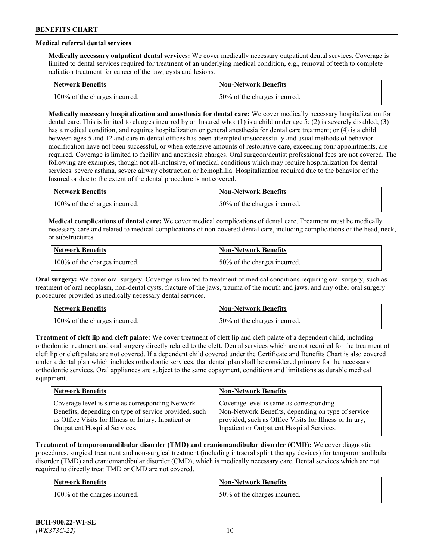# **Medical referral dental services**

**Medically necessary outpatient dental services:** We cover medically necessary outpatient dental services. Coverage is limited to dental services required for treatment of an underlying medical condition, e.g., removal of teeth to complete radiation treatment for cancer of the jaw, cysts and lesions.

| Network Benefits              | <b>Non-Network Benefits</b>  |
|-------------------------------|------------------------------|
| 100% of the charges incurred. | 50% of the charges incurred. |

**Medically necessary hospitalization and anesthesia for dental care:** We cover medically necessary hospitalization for dental care. This is limited to charges incurred by an Insured who: (1) is a child under age 5; (2) is severely disabled; (3) has a medical condition, and requires hospitalization or general anesthesia for dental care treatment; or (4) is a child between ages 5 and 12 and care in dental offices has been attempted unsuccessfully and usual methods of behavior modification have not been successful, or when extensive amounts of restorative care, exceeding four appointments, are required. Coverage is limited to facility and anesthesia charges. Oral surgeon/dentist professional fees are not covered. The following are examples, though not all-inclusive, of medical conditions which may require hospitalization for dental services: severe asthma, severe airway obstruction or hemophilia. Hospitalization required due to the behavior of the Insured or due to the extent of the dental procedure is not covered.

| Network Benefits              | <b>Non-Network Benefits</b>  |
|-------------------------------|------------------------------|
| 100% of the charges incurred. | 50% of the charges incurred. |

**Medical complications of dental care:** We cover medical complications of dental care. Treatment must be medically necessary care and related to medical complications of non-covered dental care, including complications of the head, neck, or substructures.

| <b>Network Benefits</b>       | Non-Network Benefits         |
|-------------------------------|------------------------------|
| 100% of the charges incurred. | 50% of the charges incurred. |

**Oral surgery:** We cover oral surgery. Coverage is limited to treatment of medical conditions requiring oral surgery, such as treatment of oral neoplasm, non-dental cysts, fracture of the jaws, trauma of the mouth and jaws, and any other oral surgery procedures provided as medically necessary dental services.

| Network Benefits              | <b>Non-Network Benefits</b>   |
|-------------------------------|-------------------------------|
| 100% of the charges incurred. | 150% of the charges incurred. |

**Treatment of cleft lip and cleft palate:** We cover treatment of cleft lip and cleft palate of a dependent child, including orthodontic treatment and oral surgery directly related to the cleft. Dental services which are not required for the treatment of cleft lip or cleft palate are not covered. If a dependent child covered under the Certificate and Benefits Chart is also covered under a dental plan which includes orthodontic services, that dental plan shall be considered primary for the necessary orthodontic services. Oral appliances are subject to the same copayment, conditions and limitations as durable medical equipment.

| <b>Network Benefits</b>                               | <b>Non-Network Benefits</b>                            |
|-------------------------------------------------------|--------------------------------------------------------|
| Coverage level is same as corresponding Network       | Coverage level is same as corresponding                |
| Benefits, depending on type of service provided, such | Non-Network Benefits, depending on type of service     |
| as Office Visits for Illness or Injury, Inpatient or  | provided, such as Office Visits for Illness or Injury, |
| Outpatient Hospital Services.                         | Inpatient or Outpatient Hospital Services.             |

**Treatment of temporomandibular disorder (TMD) and craniomandibular disorder (CMD):** We cover diagnostic procedures, surgical treatment and non-surgical treatment (including intraoral splint therapy devices) for temporomandibular disorder (TMD) and craniomandibular disorder (CMD), which is medically necessary care. Dental services which are not required to directly treat TMD or CMD are not covered.

| <b>Network Benefits</b>       | <b>Non-Network Benefits</b>   |
|-------------------------------|-------------------------------|
| 100% of the charges incurred. | 150% of the charges incurred. |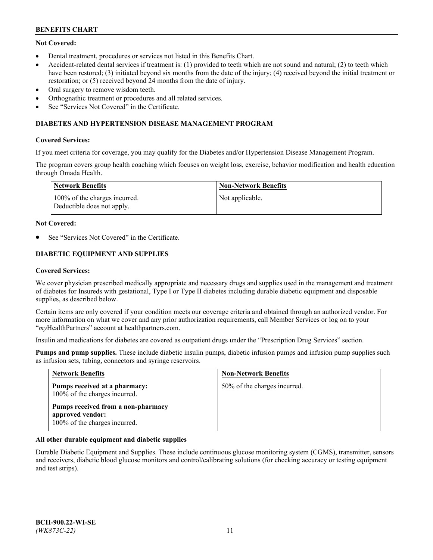# **Not Covered:**

- Dental treatment, procedures or services not listed in this Benefits Chart.
- Accident-related dental services if treatment is: (1) provided to teeth which are not sound and natural; (2) to teeth which have been restored; (3) initiated beyond six months from the date of the injury; (4) received beyond the initial treatment or restoration; or (5) received beyond 24 months from the date of injury.
- Oral surgery to remove wisdom teeth.
- Orthognathic treatment or procedures and all related services.
- See "Services Not Covered" in the Certificate.

### **DIABETES AND HYPERTENSION DISEASE MANAGEMENT PROGRAM**

### **Covered Services:**

If you meet criteria for coverage, you may qualify for the Diabetes and/or Hypertension Disease Management Program.

The program covers group health coaching which focuses on weight loss, exercise, behavior modification and health education through Omada Health.

| <b>Network Benefits</b>                                     | <b>Non-Network Benefits</b> |
|-------------------------------------------------------------|-----------------------------|
| 100% of the charges incurred.<br>Deductible does not apply. | Not applicable.             |

### **Not Covered:**

See "Services Not Covered" in the Certificate.

# **DIABETIC EQUIPMENT AND SUPPLIES**

### **Covered Services:**

We cover physician prescribed medically appropriate and necessary drugs and supplies used in the management and treatment of diabetes for Insureds with gestational, Type I or Type II diabetes including durable diabetic equipment and disposable supplies, as described below.

Certain items are only covered if your condition meets our coverage criteria and obtained through an authorized vendor. For more information on what we cover and any prior authorization requirements, call Member Services or log on to your "*my*HealthPartners" account at [healthpartners.com.](http://www.healthpartners.com/)

Insulin and medications for diabetes are covered as outpatient drugs under the "Prescription Drug Services" section.

**Pumps and pump supplies.** These include diabetic insulin pumps, diabetic infusion pumps and infusion pump supplies such as infusion sets, tubing, connectors and syringe reservoirs.

| <b>Network Benefits</b>                                                                 | <b>Non-Network Benefits</b>  |
|-----------------------------------------------------------------------------------------|------------------------------|
| Pumps received at a pharmacy:<br>100% of the charges incurred.                          | 50% of the charges incurred. |
| Pumps received from a non-pharmacy<br>approved vendor:<br>100% of the charges incurred. |                              |

## **All other durable equipment and diabetic supplies**

Durable Diabetic Equipment and Supplies. These include continuous glucose monitoring system (CGMS), transmitter, sensors and receivers, diabetic blood glucose monitors and control/calibrating solutions (for checking accuracy or testing equipment and test strips).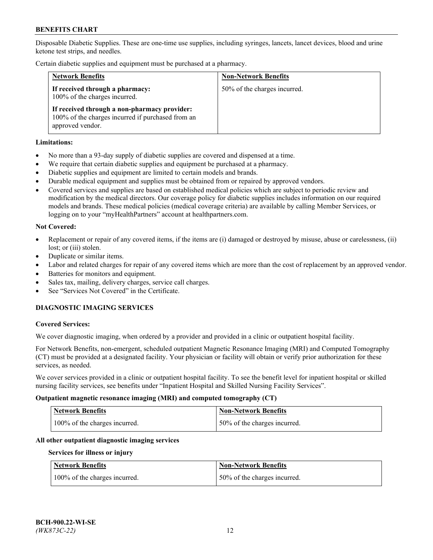Disposable Diabetic Supplies. These are one-time use supplies, including syringes, lancets, lancet devices, blood and urine ketone test strips, and needles.

Certain diabetic supplies and equipment must be purchased at a pharmacy.

| <b>Network Benefits</b>                                                                                               | <b>Non-Network Benefits</b>  |
|-----------------------------------------------------------------------------------------------------------------------|------------------------------|
| If received through a pharmacy:<br>100% of the charges incurred.                                                      | 50% of the charges incurred. |
| If received through a non-pharmacy provider:<br>100% of the charges incurred if purchased from an<br>approved vendor. |                              |

### **Limitations:**

- No more than a 93-day supply of diabetic supplies are covered and dispensed at a time.
- We require that certain diabetic supplies and equipment be purchased at a pharmacy.
- Diabetic supplies and equipment are limited to certain models and brands.
- Durable medical equipment and supplies must be obtained from or repaired by approved vendors.
- Covered services and supplies are based on established medical policies which are subject to periodic review and modification by the medical directors. Our coverage policy for diabetic supplies includes information on our required models and brands. These medical policies (medical coverage criteria) are available by calling Member Services, or logging on to your "myHealthPartners" account at [healthpartners.com.](http://www.healthpartners.com/)

### **Not Covered:**

- Replacement or repair of any covered items, if the items are (i) damaged or destroyed by misuse, abuse or carelessness, (ii) lost; or (iii) stolen.
- Duplicate or similar items.
- Labor and related charges for repair of any covered items which are more than the cost of replacement by an approved vendor.
- Batteries for monitors and equipment.
- Sales tax, mailing, delivery charges, service call charges.
- See "Services Not Covered" in the Certificate.

# **DIAGNOSTIC IMAGING SERVICES**

#### **Covered Services:**

We cover diagnostic imaging, when ordered by a provider and provided in a clinic or outpatient hospital facility.

For Network Benefits, non-emergent, scheduled outpatient Magnetic Resonance Imaging (MRI) and Computed Tomography (CT) must be provided at a designated facility. Your physician or facility will obtain or verify prior authorization for these services, as needed.

We cover services provided in a clinic or outpatient hospital facility. To see the benefit level for inpatient hospital or skilled nursing facility services, see benefits under "Inpatient Hospital and Skilled Nursing Facility Services".

#### **Outpatient magnetic resonance imaging (MRI) and computed tomography (CT)**

| <b>Network Benefits</b>       | <b>Non-Network Benefits</b>  |
|-------------------------------|------------------------------|
| 100% of the charges incurred. | 50% of the charges incurred. |

#### **All other outpatient diagnostic imaging services**

#### **Services for illness or injury**

| <b>Network Benefits</b>       | <b>Non-Network Benefits</b>  |
|-------------------------------|------------------------------|
| 100% of the charges incurred. | 50% of the charges incurred. |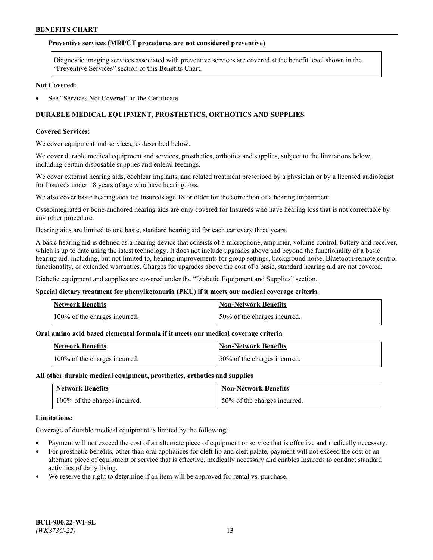### **Preventive services (MRI/CT procedures are not considered preventive)**

Diagnostic imaging services associated with preventive services are covered at the benefit level shown in the "Preventive Services" section of this Benefits Chart.

#### **Not Covered:**

See "Services Not Covered" in the Certificate.

# **DURABLE MEDICAL EQUIPMENT, PROSTHETICS, ORTHOTICS AND SUPPLIES**

### **Covered Services:**

We cover equipment and services, as described below.

We cover durable medical equipment and services, prosthetics, orthotics and supplies, subject to the limitations below, including certain disposable supplies and enteral feedings.

We cover external hearing aids, cochlear implants, and related treatment prescribed by a physician or by a licensed audiologist for Insureds under 18 years of age who have hearing loss.

We also cover basic hearing aids for Insureds age 18 or older for the correction of a hearing impairment.

Osseointegrated or bone-anchored hearing aids are only covered for Insureds who have hearing loss that is not correctable by any other procedure.

Hearing aids are limited to one basic, standard hearing aid for each ear every three years.

A basic hearing aid is defined as a hearing device that consists of a microphone, amplifier, volume control, battery and receiver, which is up to date using the latest technology. It does not include upgrades above and beyond the functionality of a basic hearing aid, including, but not limited to, hearing improvements for group settings, background noise, Bluetooth/remote control functionality, or extended warranties. Charges for upgrades above the cost of a basic, standard hearing aid are not covered.

Diabetic equipment and supplies are covered under the "Diabetic Equipment and Supplies" section.

#### **Special dietary treatment for phenylketonuria (PKU) if it meets our medical coverage criteria**

| <b>Network Benefits</b>       | <b>Non-Network Benefits</b>  |
|-------------------------------|------------------------------|
| 100% of the charges incurred. | 50% of the charges incurred. |

## **Oral amino acid based elemental formula if it meets our medical coverage criteria**

| <b>Network Benefits</b>       | Non-Network Benefits         |
|-------------------------------|------------------------------|
| 100% of the charges incurred. | 50% of the charges incurred. |

#### **All other durable medical equipment, prosthetics, orthotics and supplies**

| <b>Network Benefits</b>       | <b>Non-Network Benefits</b>  |
|-------------------------------|------------------------------|
| 100% of the charges incurred. | 50% of the charges incurred. |

#### **Limitations:**

Coverage of durable medical equipment is limited by the following:

- Payment will not exceed the cost of an alternate piece of equipment or service that is effective and medically necessary.
- For prosthetic benefits, other than oral appliances for cleft lip and cleft palate, payment will not exceed the cost of an alternate piece of equipment or service that is effective, medically necessary and enables Insureds to conduct standard activities of daily living.
- We reserve the right to determine if an item will be approved for rental vs. purchase.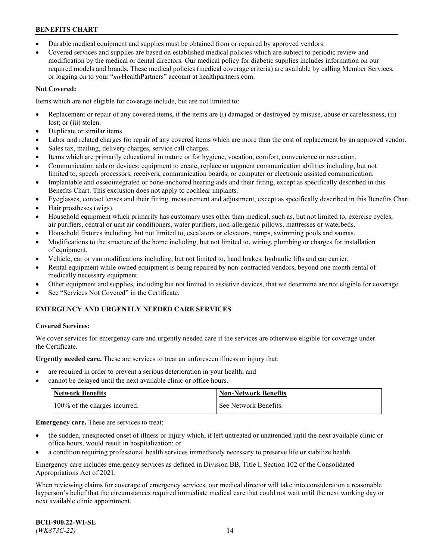- Durable medical equipment and supplies must be obtained from or repaired by approved vendors.
- Covered services and supplies are based on established medical policies which are subject to periodic review and modification by the medical or dental directors. Our medical policy for diabetic supplies includes information on our required models and brands. These medical policies (medical coverage criteria) are available by calling Member Services, or logging on to your "*my*HealthPartners" account a[t healthpartners.com.](http://www.healthpartners.com/)

# **Not Covered:**

Items which are not eligible for coverage include, but are not limited to:

- Replacement or repair of any covered items, if the items are (i) damaged or destroyed by misuse, abuse or carelessness, (ii) lost; or (iii) stolen.
- Duplicate or similar items.
- Labor and related charges for repair of any covered items which are more than the cost of replacement by an approved vendor.
- Sales tax, mailing, delivery charges, service call charges.
- Items which are primarily educational in nature or for hygiene, vocation, comfort, convenience or recreation.
- Communication aids or devices: equipment to create, replace or augment communication abilities including, but not limited to, speech processors, receivers, communication boards, or computer or electronic assisted communication.
- Implantable and osseointegrated or bone-anchored hearing aids and their fitting, except as specifically described in this Benefits Chart. This exclusion does not apply to cochlear implants.
- Eyeglasses, contact lenses and their fitting, measurement and adjustment, except as specifically described in this Benefits Chart.
- Hair prostheses (wigs).
- Household equipment which primarily has customary uses other than medical, such as, but not limited to, exercise cycles, air purifiers, central or unit air conditioners, water purifiers, non-allergenic pillows, mattresses or waterbeds.
- Household fixtures including, but not limited to, escalators or elevators, ramps, swimming pools and saunas.
- Modifications to the structure of the home including, but not limited to, wiring, plumbing or charges for installation of equipment.
- Vehicle, car or van modifications including, but not limited to, hand brakes, hydraulic lifts and car carrier.
- Rental equipment while owned equipment is being repaired by non-contracted vendors, beyond one month rental of medically necessary equipment.
- Other equipment and supplies, including but not limited to assistive devices, that we determine are not eligible for coverage.
- See "Services Not Covered" in the Certificate.

# **EMERGENCY AND URGENTLY NEEDED CARE SERVICES**

## **Covered Services:**

We cover services for emergency care and urgently needed care if the services are otherwise eligible for coverage under the Certificate.

**Urgently needed care.** These are services to treat an unforeseen illness or injury that:

- are required in order to prevent a serious deterioration in your health; and
- cannot be delayed until the next available clinic or office hours.

| <b>Network Benefits</b>       | <b>Non-Network Benefits</b> |
|-------------------------------|-----------------------------|
| 100% of the charges incurred. | See Network Benefits.       |

**Emergency care.** These are services to treat:

- the sudden, unexpected onset of illness or injury which, if left untreated or unattended until the next available clinic or office hours, would result in hospitalization; or
- a condition requiring professional health services immediately necessary to preserve life or stabilize health.

Emergency care includes emergency services as defined in Division BB, Title I, Section 102 of the Consolidated Appropriations Act of 2021.

When reviewing claims for coverage of emergency services, our medical director will take into consideration a reasonable layperson's belief that the circumstances required immediate medical care that could not wait until the next working day or next available clinic appointment.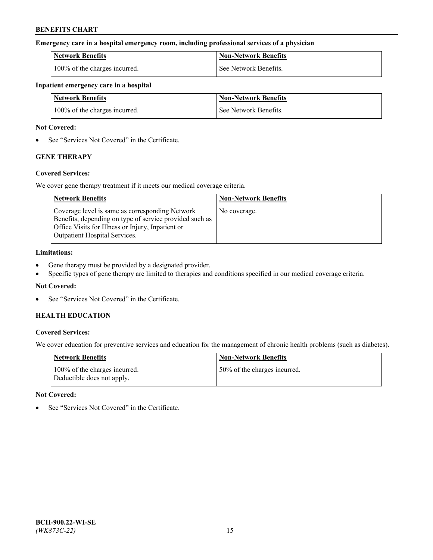### **Emergency care in a hospital emergency room, including professional services of a physician**

| <b>Network Benefits</b>       | <b>Non-Network Benefits</b> |
|-------------------------------|-----------------------------|
| 100% of the charges incurred. | See Network Benefits.       |

#### **Inpatient emergency care in a hospital**

| <b>Network Benefits</b>       | <b>Non-Network Benefits</b> |
|-------------------------------|-----------------------------|
| 100% of the charges incurred. | See Network Benefits.       |

### **Not Covered:**

• See "Services Not Covered" in the Certificate.

# **GENE THERAPY**

## **Covered Services:**

We cover gene therapy treatment if it meets our medical coverage criteria.

| <b>Network Benefits</b>                                                                                                                                                                                 | <b>Non-Network Benefits</b> |
|---------------------------------------------------------------------------------------------------------------------------------------------------------------------------------------------------------|-----------------------------|
| Coverage level is same as corresponding Network<br>Benefits, depending on type of service provided such as<br>Office Visits for Illness or Injury, Inpatient or<br><b>Outpatient Hospital Services.</b> | No coverage.                |

### **Limitations:**

- Gene therapy must be provided by a designated provider.
- Specific types of gene therapy are limited to therapies and conditions specified in our medical coverage criteria.

# **Not Covered:**

See "Services Not Covered" in the Certificate.

# **HEALTH EDUCATION**

## **Covered Services:**

We cover education for preventive services and education for the management of chronic health problems (such as diabetes).

| <b>Network Benefits</b>                                     | <b>Non-Network Benefits</b>  |
|-------------------------------------------------------------|------------------------------|
| 100% of the charges incurred.<br>Deductible does not apply. | 50% of the charges incurred. |

#### **Not Covered:**

See "Services Not Covered" in the Certificate.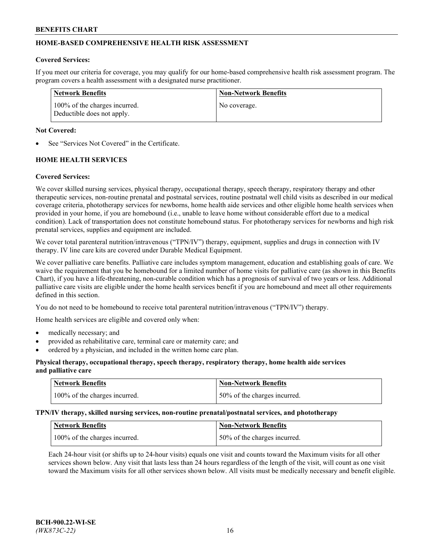# **HOME-BASED COMPREHENSIVE HEALTH RISK ASSESSMENT**

#### **Covered Services:**

If you meet our criteria for coverage, you may qualify for our home-based comprehensive health risk assessment program. The program covers a health assessment with a designated nurse practitioner.

| Network Benefits                                            | <b>Non-Network Benefits</b> |
|-------------------------------------------------------------|-----------------------------|
| 100% of the charges incurred.<br>Deductible does not apply. | No coverage.                |

### **Not Covered:**

See "Services Not Covered" in the Certificate.

# **HOME HEALTH SERVICES**

### **Covered Services:**

We cover skilled nursing services, physical therapy, occupational therapy, speech therapy, respiratory therapy and other therapeutic services, non-routine prenatal and postnatal services, routine postnatal well child visits as described in our medical coverage criteria, phototherapy services for newborns, home health aide services and other eligible home health services when provided in your home, if you are homebound (i.e., unable to leave home without considerable effort due to a medical condition). Lack of transportation does not constitute homebound status. For phototherapy services for newborns and high risk prenatal services, supplies and equipment are included.

We cover total parenteral nutrition/intravenous ("TPN/IV") therapy, equipment, supplies and drugs in connection with IV therapy. IV line care kits are covered under Durable Medical Equipment.

We cover palliative care benefits. Palliative care includes symptom management, education and establishing goals of care. We waive the requirement that you be homebound for a limited number of home visits for palliative care (as shown in this Benefits Chart), if you have a life-threatening, non-curable condition which has a prognosis of survival of two years or less. Additional palliative care visits are eligible under the home health services benefit if you are homebound and meet all other requirements defined in this section.

You do not need to be homebound to receive total parenteral nutrition/intravenous ("TPN/IV") therapy.

Home health services are eligible and covered only when:

- medically necessary; and
- provided as rehabilitative care, terminal care or maternity care; and
- ordered by a physician, and included in the written home care plan.

### **Physical therapy, occupational therapy, speech therapy, respiratory therapy, home health aide services and palliative care**

| Network Benefits              | <b>Non-Network Benefits</b>  |
|-------------------------------|------------------------------|
| 100% of the charges incurred. | 50% of the charges incurred. |

**TPN/IV therapy, skilled nursing services, non-routine prenatal/postnatal services, and phototherapy**

| Network Benefits              | Non-Network Benefits         |
|-------------------------------|------------------------------|
| 100% of the charges incurred. | 50% of the charges incurred. |

Each 24-hour visit (or shifts up to 24-hour visits) equals one visit and counts toward the Maximum visits for all other services shown below. Any visit that lasts less than 24 hours regardless of the length of the visit, will count as one visit toward the Maximum visits for all other services shown below. All visits must be medically necessary and benefit eligible.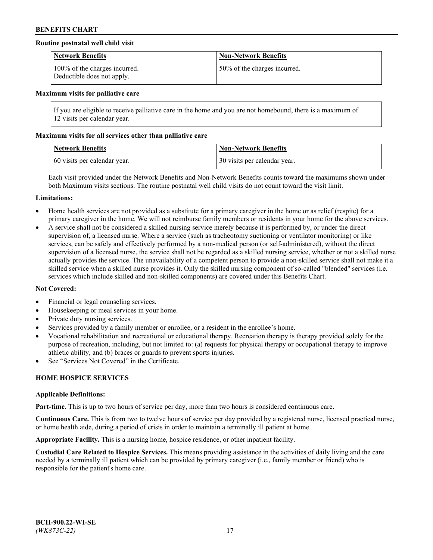## **Routine postnatal well child visit**

| <b>Network Benefits</b>                                     | <b>Non-Network Benefits</b>  |
|-------------------------------------------------------------|------------------------------|
| 100% of the charges incurred.<br>Deductible does not apply. | 50% of the charges incurred. |

#### **Maximum visits for palliative care**

If you are eligible to receive palliative care in the home and you are not homebound, there is a maximum of 12 visits per calendar year.

### **Maximum visits for all services other than palliative care**

| <b>Network Benefits</b>      | <b>Non-Network Benefits</b>  |
|------------------------------|------------------------------|
| 60 visits per calendar year. | 30 visits per calendar year. |

Each visit provided under the Network Benefits and Non-Network Benefits counts toward the maximums shown under both Maximum visits sections. The routine postnatal well child visits do not count toward the visit limit.

#### **Limitations:**

- Home health services are not provided as a substitute for a primary caregiver in the home or as relief (respite) for a primary caregiver in the home. We will not reimburse family members or residents in your home for the above services.
- A service shall not be considered a skilled nursing service merely because it is performed by, or under the direct supervision of, a licensed nurse. Where a service (such as tracheotomy suctioning or ventilator monitoring) or like services, can be safely and effectively performed by a non-medical person (or self-administered), without the direct supervision of a licensed nurse, the service shall not be regarded as a skilled nursing service, whether or not a skilled nurse actually provides the service. The unavailability of a competent person to provide a non-skilled service shall not make it a skilled service when a skilled nurse provides it. Only the skilled nursing component of so-called "blended" services (i.e. services which include skilled and non-skilled components) are covered under this Benefits Chart.

#### **Not Covered:**

- Financial or legal counseling services.
- Housekeeping or meal services in your home.
- Private duty nursing services.
- Services provided by a family member or enrollee, or a resident in the enrollee's home.
- Vocational rehabilitation and recreational or educational therapy. Recreation therapy is therapy provided solely for the purpose of recreation, including, but not limited to: (a) requests for physical therapy or occupational therapy to improve athletic ability, and (b) braces or guards to prevent sports injuries.
- See "Services Not Covered" in the Certificate.

# **HOME HOSPICE SERVICES**

#### **Applicable Definitions:**

**Part-time.** This is up to two hours of service per day, more than two hours is considered continuous care.

**Continuous Care.** This is from two to twelve hours of service per day provided by a registered nurse, licensed practical nurse, or home health aide, during a period of crisis in order to maintain a terminally ill patient at home.

**Appropriate Facility.** This is a nursing home, hospice residence, or other inpatient facility.

**Custodial Care Related to Hospice Services.** This means providing assistance in the activities of daily living and the care needed by a terminally ill patient which can be provided by primary caregiver (i.e., family member or friend) who is responsible for the patient's home care.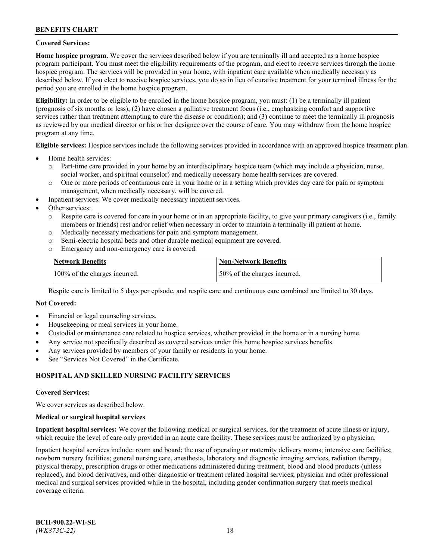### **Covered Services:**

**Home hospice program.** We cover the services described below if you are terminally ill and accepted as a home hospice program participant. You must meet the eligibility requirements of the program, and elect to receive services through the home hospice program. The services will be provided in your home, with inpatient care available when medically necessary as described below. If you elect to receive hospice services, you do so in lieu of curative treatment for your terminal illness for the period you are enrolled in the home hospice program.

**Eligibility:** In order to be eligible to be enrolled in the home hospice program, you must: (1) be a terminally ill patient (prognosis of six months or less); (2) have chosen a palliative treatment focus (i.e., emphasizing comfort and supportive services rather than treatment attempting to cure the disease or condition); and (3) continue to meet the terminally ill prognosis as reviewed by our medical director or his or her designee over the course of care. You may withdraw from the home hospice program at any time.

**Eligible services:** Hospice services include the following services provided in accordance with an approved hospice treatment plan.

- Home health services:
	- o Part-time care provided in your home by an interdisciplinary hospice team (which may include a physician, nurse, social worker, and spiritual counselor) and medically necessary home health services are covered.
	- o One or more periods of continuous care in your home or in a setting which provides day care for pain or symptom management, when medically necessary, will be covered.
- Inpatient services: We cover medically necessary inpatient services.
- Other services:
	- o Respite care is covered for care in your home or in an appropriate facility, to give your primary caregivers (i.e., family members or friends) rest and/or relief when necessary in order to maintain a terminally ill patient at home.
	- o Medically necessary medications for pain and symptom management.
	- o Semi-electric hospital beds and other durable medical equipment are covered.
	- Emergency and non-emergency care is covered.

| Network Benefits              | <b>Non-Network Benefits</b>  |
|-------------------------------|------------------------------|
| 100% of the charges incurred. | 50% of the charges incurred. |

Respite care is limited to 5 days per episode, and respite care and continuous care combined are limited to 30 days.

### **Not Covered:**

- Financial or legal counseling services.
- Housekeeping or meal services in your home.
- Custodial or maintenance care related to hospice services, whether provided in the home or in a nursing home.
- Any service not specifically described as covered services under this home hospice services benefits.
- Any services provided by members of your family or residents in your home.
- See "Services Not Covered" in the Certificate.

## **HOSPITAL AND SKILLED NURSING FACILITY SERVICES**

#### **Covered Services:**

We cover services as described below.

#### **Medical or surgical hospital services**

**Inpatient hospital services:** We cover the following medical or surgical services, for the treatment of acute illness or injury, which require the level of care only provided in an acute care facility. These services must be authorized by a physician.

Inpatient hospital services include: room and board; the use of operating or maternity delivery rooms; intensive care facilities; newborn nursery facilities; general nursing care, anesthesia, laboratory and diagnostic imaging services, radiation therapy, physical therapy, prescription drugs or other medications administered during treatment, blood and blood products (unless replaced), and blood derivatives, and other diagnostic or treatment related hospital services; physician and other professional medical and surgical services provided while in the hospital, including gender confirmation surgery that meets medical coverage criteria.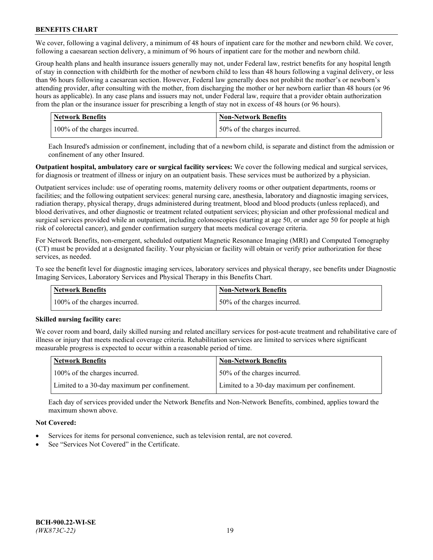We cover, following a vaginal delivery, a minimum of 48 hours of inpatient care for the mother and newborn child. We cover, following a caesarean section delivery, a minimum of 96 hours of inpatient care for the mother and newborn child.

Group health plans and health insurance issuers generally may not, under Federal law, restrict benefits for any hospital length of stay in connection with childbirth for the mother of newborn child to less than 48 hours following a vaginal delivery, or less than 96 hours following a caesarean section. However, Federal law generally does not prohibit the mother's or newborn's attending provider, after consulting with the mother, from discharging the mother or her newborn earlier than 48 hours (or 96 hours as applicable). In any case plans and issuers may not, under Federal law, require that a provider obtain authorization from the plan or the insurance issuer for prescribing a length of stay not in excess of 48 hours (or 96 hours).

| <b>Network Benefits</b>       | <b>Non-Network Benefits</b>  |
|-------------------------------|------------------------------|
| 100% of the charges incurred. | 50% of the charges incurred. |

Each Insured's admission or confinement, including that of a newborn child, is separate and distinct from the admission or confinement of any other Insured.

**Outpatient hospital, ambulatory care or surgical facility services:** We cover the following medical and surgical services, for diagnosis or treatment of illness or injury on an outpatient basis. These services must be authorized by a physician.

Outpatient services include: use of operating rooms, maternity delivery rooms or other outpatient departments, rooms or facilities; and the following outpatient services: general nursing care, anesthesia, laboratory and diagnostic imaging services, radiation therapy, physical therapy, drugs administered during treatment, blood and blood products (unless replaced), and blood derivatives, and other diagnostic or treatment related outpatient services; physician and other professional medical and surgical services provided while an outpatient, including colonoscopies (starting at age 50, or under age 50 for people at high risk of colorectal cancer), and gender confirmation surgery that meets medical coverage criteria.

For Network Benefits, non-emergent, scheduled outpatient Magnetic Resonance Imaging (MRI) and Computed Tomography (CT) must be provided at a designated facility. Your physician or facility will obtain or verify prior authorization for these services, as needed.

To see the benefit level for diagnostic imaging services, laboratory services and physical therapy, see benefits under Diagnostic Imaging Services, Laboratory Services and Physical Therapy in this Benefits Chart.

| <b>Network Benefits</b>       | <b>Non-Network Benefits</b>  |
|-------------------------------|------------------------------|
| 100% of the charges incurred. | 50% of the charges incurred. |

## **Skilled nursing facility care:**

We cover room and board, daily skilled nursing and related ancillary services for post-acute treatment and rehabilitative care of illness or injury that meets medical coverage criteria. Rehabilitation services are limited to services where significant measurable progress is expected to occur within a reasonable period of time.

| Network Benefits                             | <b>Non-Network Benefits</b>                  |
|----------------------------------------------|----------------------------------------------|
| 100% of the charges incurred.                | 50% of the charges incurred.                 |
| Limited to a 30-day maximum per confinement. | Limited to a 30-day maximum per confinement. |

Each day of services provided under the Network Benefits and Non-Network Benefits, combined, applies toward the maximum shown above.

## **Not Covered:**

- Services for items for personal convenience, such as television rental, are not covered.
- See "Services Not Covered" in the Certificate.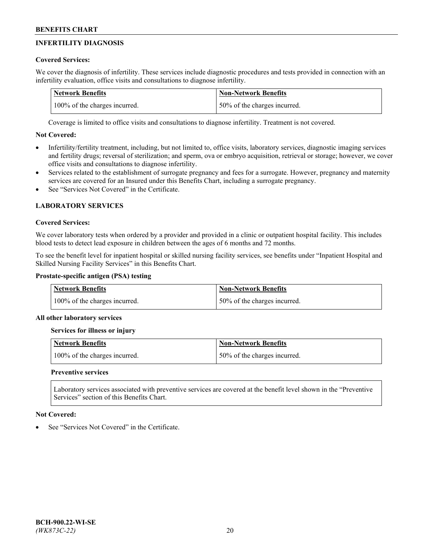# **INFERTILITY DIAGNOSIS**

# **Covered Services:**

We cover the diagnosis of infertility. These services include diagnostic procedures and tests provided in connection with an infertility evaluation, office visits and consultations to diagnose infertility.

| <b>Network Benefits</b>       | <b>Non-Network Benefits</b>  |
|-------------------------------|------------------------------|
| 100% of the charges incurred. | 50% of the charges incurred. |

Coverage is limited to office visits and consultations to diagnose infertility. Treatment is not covered.

# **Not Covered:**

- Infertility/fertility treatment, including, but not limited to, office visits, laboratory services, diagnostic imaging services and fertility drugs; reversal of sterilization; and sperm, ova or embryo acquisition, retrieval or storage; however, we cover office visits and consultations to diagnose infertility.
- Services related to the establishment of surrogate pregnancy and fees for a surrogate. However, pregnancy and maternity services are covered for an Insured under this Benefits Chart, including a surrogate pregnancy.
- See "Services Not Covered" in the Certificate

# **LABORATORY SERVICES**

## **Covered Services:**

We cover laboratory tests when ordered by a provider and provided in a clinic or outpatient hospital facility. This includes blood tests to detect lead exposure in children between the ages of 6 months and 72 months.

To see the benefit level for inpatient hospital or skilled nursing facility services, see benefits under "Inpatient Hospital and Skilled Nursing Facility Services" in this Benefits Chart.

# **Prostate-specific antigen (PSA) testing**

| <b>Network Benefits</b>       | <b>Non-Network Benefits</b>  |
|-------------------------------|------------------------------|
| 100% of the charges incurred. | 50% of the charges incurred. |

## **All other laboratory services**

**Services for illness or injury**

| <b>Network Benefits</b>       | 'Non-Network Benefits        |
|-------------------------------|------------------------------|
| 100% of the charges incurred. | 50% of the charges incurred. |

## **Preventive services**

Laboratory services associated with preventive services are covered at the benefit level shown in the "Preventive Services" section of this Benefits Chart.

## **Not Covered:**

See "Services Not Covered" in the Certificate.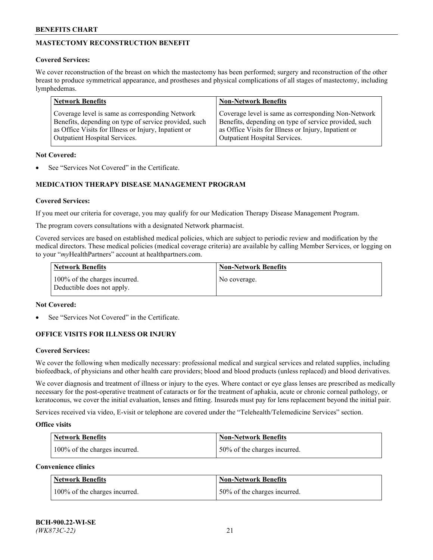# **MASTECTOMY RECONSTRUCTION BENEFIT**

## **Covered Services:**

We cover reconstruction of the breast on which the mastectomy has been performed; surgery and reconstruction of the other breast to produce symmetrical appearance, and prostheses and physical complications of all stages of mastectomy, including lymphedemas.

| <b>Network Benefits</b>                               | <b>Non-Network Benefits</b>                           |
|-------------------------------------------------------|-------------------------------------------------------|
| Coverage level is same as corresponding Network       | Coverage level is same as corresponding Non-Network   |
| Benefits, depending on type of service provided, such | Benefits, depending on type of service provided, such |
| as Office Visits for Illness or Injury, Inpatient or  | as Office Visits for Illness or Injury, Inpatient or  |
| Outpatient Hospital Services.                         | Outpatient Hospital Services.                         |

### **Not Covered:**

See "Services Not Covered" in the Certificate.

# **MEDICATION THERAPY DISEASE MANAGEMENT PROGRAM**

## **Covered Services:**

If you meet our criteria for coverage, you may qualify for our Medication Therapy Disease Management Program.

The program covers consultations with a designated Network pharmacist.

Covered services are based on established medical policies, which are subject to periodic review and modification by the medical directors. These medical policies (medical coverage criteria) are available by calling Member Services, or logging on to your "*my*HealthPartners" account at [healthpartners.com.](http://www.healthpartners.com/)

| Network Benefits                                            | <b>Non-Network Benefits</b> |
|-------------------------------------------------------------|-----------------------------|
| 100% of the charges incurred.<br>Deductible does not apply. | No coverage.                |

### **Not Covered:**

See "Services Not Covered" in the Certificate.

## **OFFICE VISITS FOR ILLNESS OR INJURY**

#### **Covered Services:**

We cover the following when medically necessary: professional medical and surgical services and related supplies, including biofeedback, of physicians and other health care providers; blood and blood products (unless replaced) and blood derivatives.

We cover diagnosis and treatment of illness or injury to the eyes. Where contact or eye glass lenses are prescribed as medically necessary for the post-operative treatment of cataracts or for the treatment of aphakia, acute or chronic corneal pathology, or keratoconus, we cover the initial evaluation, lenses and fitting. Insureds must pay for lens replacement beyond the initial pair.

Services received via video, E-visit or telephone are covered under the "Telehealth/Telemedicine Services" section.

#### **Office visits**

| <b>Network Benefits</b>       | <b>Non-Network Benefits</b>  |
|-------------------------------|------------------------------|
| 100% of the charges incurred. | 50% of the charges incurred. |

**Convenience clinics**

| <b>Network Benefits</b>       | <b>Non-Network Benefits</b>   |
|-------------------------------|-------------------------------|
| 100% of the charges incurred. | 150% of the charges incurred. |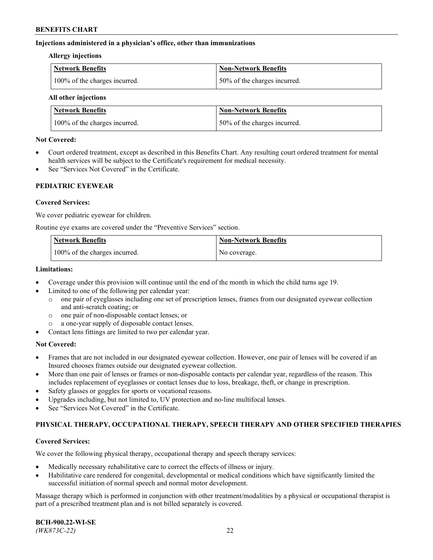### **Injections administered in a physician's office, other than immunizations**

#### **Allergy injections**

| Network Benefits              | Non-Network Benefits         |
|-------------------------------|------------------------------|
| 100% of the charges incurred. | 50% of the charges incurred. |

#### **All other injections**

| <b>Network Benefits</b>       | <b>Non-Network Benefits</b>  |
|-------------------------------|------------------------------|
| 100% of the charges incurred. | 50% of the charges incurred. |

#### **Not Covered:**

- Court ordered treatment, except as described in this Benefits Chart. Any resulting court ordered treatment for mental health services will be subject to the Certificate's requirement for medical necessity.
- See "Services Not Covered" in the Certificate.

### **PEDIATRIC EYEWEAR**

### **Covered Services:**

We cover pediatric eyewear for children.

Routine eye exams are covered under the "Preventive Services" section.

| Network Benefits              | <b>Non-Network Benefits</b> |
|-------------------------------|-----------------------------|
| 100% of the charges incurred. | No coverage.                |

### **Limitations:**

- Coverage under this provision will continue until the end of the month in which the child turns age 19.
- Limited to one of the following per calendar year:
	- o one pair of eyeglasses including one set of prescription lenses, frames from our designated eyewear collection and anti-scratch coating; or
	- o one pair of non-disposable contact lenses; or
	- o a one-year supply of disposable contact lenses.
- Contact lens fittings are limited to two per calendar year.

## **Not Covered:**

- Frames that are not included in our designated eyewear collection. However, one pair of lenses will be covered if an Insured chooses frames outside our designated eyewear collection.
- More than one pair of lenses or frames or non-disposable contacts per calendar year, regardless of the reason. This includes replacement of eyeglasses or contact lenses due to loss, breakage, theft, or change in prescription.
- Safety glasses or goggles for sports or vocational reasons.
- Upgrades including, but not limited to, UV protection and no-line multifocal lenses.
- See "Services Not Covered" in the Certificate.

## **PHYSICAL THERAPY, OCCUPATIONAL THERAPY, SPEECH THERAPY AND OTHER SPECIFIED THERAPIES**

#### **Covered Services:**

We cover the following physical therapy, occupational therapy and speech therapy services:

- Medically necessary rehabilitative care to correct the effects of illness or injury.
- Habilitative care rendered for congenital, developmental or medical conditions which have significantly limited the successful initiation of normal speech and normal motor development.

Massage therapy which is performed in conjunction with other treatment/modalities by a physical or occupational therapist is part of a prescribed treatment plan and is not billed separately is covered.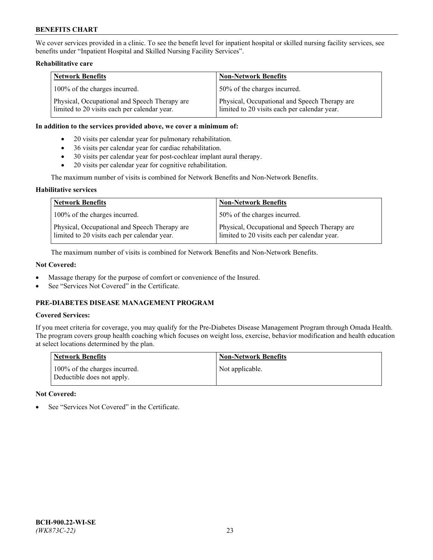We cover services provided in a clinic. To see the benefit level for inpatient hospital or skilled nursing facility services, see benefits under "Inpatient Hospital and Skilled Nursing Facility Services".

### **Rehabilitative care**

| <b>Network Benefits</b>                                                                       | <b>Non-Network Benefits</b>                                                                   |
|-----------------------------------------------------------------------------------------------|-----------------------------------------------------------------------------------------------|
| 100% of the charges incurred.                                                                 | 50% of the charges incurred.                                                                  |
| Physical, Occupational and Speech Therapy are<br>limited to 20 visits each per calendar year. | Physical, Occupational and Speech Therapy are<br>limited to 20 visits each per calendar year. |

#### **In addition to the services provided above, we cover a minimum of:**

- 20 visits per calendar year for pulmonary rehabilitation.
- 36 visits per calendar year for cardiac rehabilitation.
- 30 visits per calendar year for post-cochlear implant aural therapy.
- 20 visits per calendar year for cognitive rehabilitation.

The maximum number of visits is combined for Network Benefits and Non-Network Benefits.

### **Habilitative services**

| <b>Network Benefits</b>                                                                       | <b>Non-Network Benefits</b>                                                                   |
|-----------------------------------------------------------------------------------------------|-----------------------------------------------------------------------------------------------|
| 100% of the charges incurred.                                                                 | 50% of the charges incurred.                                                                  |
| Physical, Occupational and Speech Therapy are<br>limited to 20 visits each per calendar year. | Physical, Occupational and Speech Therapy are<br>limited to 20 visits each per calendar year. |

The maximum number of visits is combined for Network Benefits and Non-Network Benefits.

## **Not Covered:**

- Massage therapy for the purpose of comfort or convenience of the Insured.
- See "Services Not Covered" in the Certificate.

# **PRE-DIABETES DISEASE MANAGEMENT PROGRAM**

# **Covered Services:**

If you meet criteria for coverage, you may qualify for the Pre-Diabetes Disease Management Program through Omada Health. The program covers group health coaching which focuses on weight loss, exercise, behavior modification and health education at select locations determined by the plan.

| <b>Network Benefits</b>                                     | <b>Non-Network Benefits</b> |
|-------------------------------------------------------------|-----------------------------|
| 100% of the charges incurred.<br>Deductible does not apply. | Not applicable.             |

## **Not Covered:**

See "Services Not Covered" in the Certificate.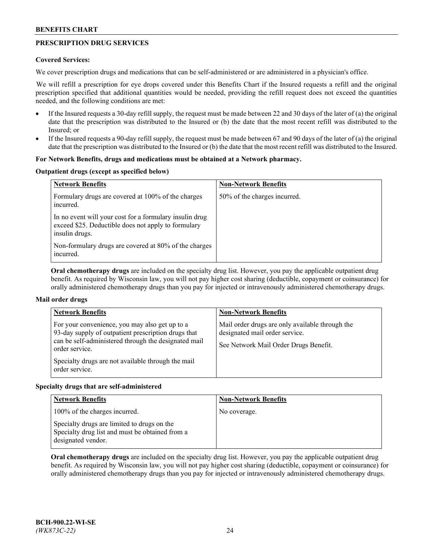# **PRESCRIPTION DRUG SERVICES**

### **Covered Services:**

We cover prescription drugs and medications that can be self-administered or are administered in a physician's office.

We will refill a prescription for eye drops covered under this Benefits Chart if the Insured requests a refill and the original prescription specified that additional quantities would be needed, providing the refill request does not exceed the quantities needed, and the following conditions are met:

- If the Insured requests a 30-day refill supply, the request must be made between 22 and 30 days of the later of (a) the original date that the prescription was distributed to the Insured or (b) the date that the most recent refill was distributed to the Insured; or
- If the Insured requests a 90-day refill supply, the request must be made between 67 and 90 days of the later of (a) the original date that the prescription was distributed to the Insured or (b) the date that the most recent refill was distributed to the Insured.

### **For Network Benefits, drugs and medications must be obtained at a Network pharmacy.**

### **Outpatient drugs (except as specified below)**

| <b>Network Benefits</b>                                                                                                          | <b>Non-Network Benefits</b>  |
|----------------------------------------------------------------------------------------------------------------------------------|------------------------------|
| Formulary drugs are covered at 100% of the charges<br>incurred.                                                                  | 50% of the charges incurred. |
| In no event will your cost for a formulary insulin drug<br>exceed \$25. Deductible does not apply to formulary<br>insulin drugs. |                              |
| Non-formulary drugs are covered at 80% of the charges<br>incurred.                                                               |                              |

**Oral chemotherapy drugs** are included on the specialty drug list. However, you pay the applicable outpatient drug benefit. As required by Wisconsin law, you will not pay higher cost sharing (deductible, copayment or coinsurance) for orally administered chemotherapy drugs than you pay for injected or intravenously administered chemotherapy drugs.

## **Mail order drugs**

| <b>Network Benefits</b>                                                                                                                                                                                                                                 | <b>Non-Network Benefits</b>                                                                                                |
|---------------------------------------------------------------------------------------------------------------------------------------------------------------------------------------------------------------------------------------------------------|----------------------------------------------------------------------------------------------------------------------------|
| For your convenience, you may also get up to a<br>93-day supply of outpatient prescription drugs that<br>can be self-administered through the designated mail<br>order service.<br>Specialty drugs are not available through the mail<br>order service. | Mail order drugs are only available through the<br>designated mail order service.<br>See Network Mail Order Drugs Benefit. |

#### **Specialty drugs that are self-administered**

| <b>Network Benefits</b>                                                                                              | <b>Non-Network Benefits</b> |
|----------------------------------------------------------------------------------------------------------------------|-----------------------------|
| 100% of the charges incurred.                                                                                        | No coverage.                |
| Specialty drugs are limited to drugs on the<br>Specialty drug list and must be obtained from a<br>designated vendor. |                             |

**Oral chemotherapy drugs** are included on the specialty drug list. However, you pay the applicable outpatient drug benefit. As required by Wisconsin law, you will not pay higher cost sharing (deductible, copayment or coinsurance) for orally administered chemotherapy drugs than you pay for injected or intravenously administered chemotherapy drugs.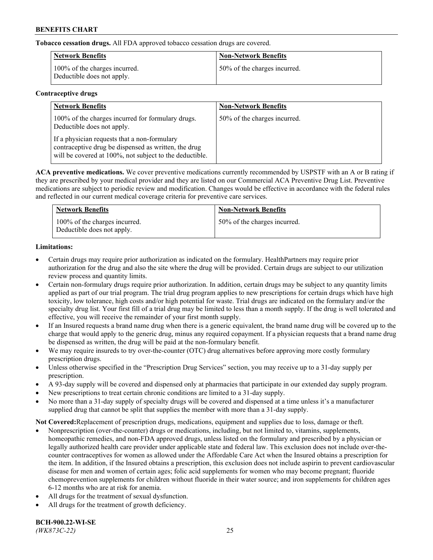**Tobacco cessation drugs.** All FDA approved tobacco cessation drugs are covered.

| Network Benefits                                            | <b>Non-Network Benefits</b>  |
|-------------------------------------------------------------|------------------------------|
| 100% of the charges incurred.<br>Deductible does not apply. | 50% of the charges incurred. |

# **Contraceptive drugs**

| <b>Network Benefits</b>                                                                                                                                         | <b>Non-Network Benefits</b>  |
|-----------------------------------------------------------------------------------------------------------------------------------------------------------------|------------------------------|
| 100% of the charges incurred for formulary drugs.<br>Deductible does not apply.                                                                                 | 50% of the charges incurred. |
| If a physician requests that a non-formulary<br>contraceptive drug be dispensed as written, the drug<br>will be covered at 100%, not subject to the deductible. |                              |

**ACA preventive medications.** We cover preventive medications currently recommended by USPSTF with an A or B rating if they are prescribed by your medical provider and they are listed on our Commercial ACA Preventive Drug List. Preventive medications are subject to periodic review and modification. Changes would be effective in accordance with the federal rules and reflected in our current medical coverage criteria for preventive care services.

| <b>Network Benefits</b>                                     | <b>Non-Network Benefits</b>  |
|-------------------------------------------------------------|------------------------------|
| 100% of the charges incurred.<br>Deductible does not apply. | 50% of the charges incurred. |

# **Limitations:**

- Certain drugs may require prior authorization as indicated on the formulary. HealthPartners may require prior authorization for the drug and also the site where the drug will be provided. Certain drugs are subject to our utilization review process and quantity limits.
- Certain non-formulary drugs require prior authorization. In addition, certain drugs may be subject to any quantity limits applied as part of our trial program. The trial drug program applies to new prescriptions for certain drugs which have high toxicity, low tolerance, high costs and/or high potential for waste. Trial drugs are indicated on the formulary and/or the specialty drug list. Your first fill of a trial drug may be limited to less than a month supply. If the drug is well tolerated and effective, you will receive the remainder of your first month supply.
- If an Insured requests a brand name drug when there is a generic equivalent, the brand name drug will be covered up to the charge that would apply to the generic drug, minus any required copayment. If a physician requests that a brand name drug be dispensed as written, the drug will be paid at the non-formulary benefit.
- We may require insureds to try over-the-counter (OTC) drug alternatives before approving more costly formulary prescription drugs.
- Unless otherwise specified in the "Prescription Drug Services" section, you may receive up to a 31-day supply per prescription.
- A 93-day supply will be covered and dispensed only at pharmacies that participate in our extended day supply program.
- New prescriptions to treat certain chronic conditions are limited to a 31-day supply.
- No more than a 31-day supply of specialty drugs will be covered and dispensed at a time unless it's a manufacturer supplied drug that cannot be split that supplies the member with more than a 31-day supply.

**Not Covered:**Replacement of prescription drugs, medications, equipment and supplies due to loss, damage or theft.

- Nonprescription (over-the-counter) drugs or medications, including, but not limited to, vitamins, supplements, homeopathic remedies, and non-FDA approved drugs, unless listed on the formulary and prescribed by a physician or legally authorized health care provider under applicable state and federal law. This exclusion does not include over-thecounter contraceptives for women as allowed under the Affordable Care Act when the Insured obtains a prescription for the item. In addition, if the Insured obtains a prescription, this exclusion does not include aspirin to prevent cardiovascular disease for men and women of certain ages; folic acid supplements for women who may become pregnant; fluoride chemoprevention supplements for children without fluoride in their water source; and iron supplements for children ages 6-12 months who are at risk for anemia.
- All drugs for the treatment of sexual dysfunction.
- All drugs for the treatment of growth deficiency.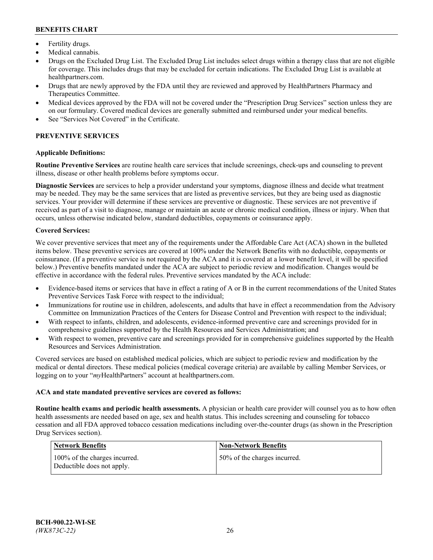- Fertility drugs.
- Medical cannabis.
- Drugs on the Excluded Drug List. The Excluded Drug List includes select drugs within a therapy class that are not eligible for coverage. This includes drugs that may be excluded for certain indications. The Excluded Drug List is available at [healthpartners.com.](http://www.healthpartners.com/)
- Drugs that are newly approved by the FDA until they are reviewed and approved by HealthPartners Pharmacy and Therapeutics Committee.
- Medical devices approved by the FDA will not be covered under the "Prescription Drug Services" section unless they are on our formulary. Covered medical devices are generally submitted and reimbursed under your medical benefits.
- See "Services Not Covered" in the Certificate.

# **PREVENTIVE SERVICES**

### **Applicable Definitions:**

**Routine Preventive Services** are routine health care services that include screenings, check-ups and counseling to prevent illness, disease or other health problems before symptoms occur.

**Diagnostic Services** are services to help a provider understand your symptoms, diagnose illness and decide what treatment may be needed. They may be the same services that are listed as preventive services, but they are being used as diagnostic services. Your provider will determine if these services are preventive or diagnostic. These services are not preventive if received as part of a visit to diagnose, manage or maintain an acute or chronic medical condition, illness or injury. When that occurs, unless otherwise indicated below, standard deductibles, copayments or coinsurance apply.

### **Covered Services:**

We cover preventive services that meet any of the requirements under the Affordable Care Act (ACA) shown in the bulleted items below. These preventive services are covered at 100% under the Network Benefits with no deductible, copayments or coinsurance. (If a preventive service is not required by the ACA and it is covered at a lower benefit level, it will be specified below.) Preventive benefits mandated under the ACA are subject to periodic review and modification. Changes would be effective in accordance with the federal rules. Preventive services mandated by the ACA include:

- Evidence-based items or services that have in effect a rating of A or B in the current recommendations of the United States Preventive Services Task Force with respect to the individual;
- Immunizations for routine use in children, adolescents, and adults that have in effect a recommendation from the Advisory Committee on Immunization Practices of the Centers for Disease Control and Prevention with respect to the individual;
- With respect to infants, children, and adolescents, evidence-informed preventive care and screenings provided for in comprehensive guidelines supported by the Health Resources and Services Administration; and
- With respect to women, preventive care and screenings provided for in comprehensive guidelines supported by the Health Resources and Services Administration.

Covered services are based on established medical policies, which are subject to periodic review and modification by the medical or dental directors. These medical policies (medical coverage criteria) are available by calling Member Services, or logging on to your "*my*HealthPartners" account at [healthpartners.com.](https://www.healthpartners.com/hp/index.html)

#### **ACA and state mandated preventive services are covered as follows:**

**Routine health exams and periodic health assessments.** A physician or health care provider will counsel you as to how often health assessments are needed based on age, sex and health status. This includes screening and counseling for tobacco cessation and all FDA approved tobacco cessation medications including over-the-counter drugs (as shown in the Prescription Drug Services section).

| Network Benefits                                            | <b>Non-Network Benefits</b>  |
|-------------------------------------------------------------|------------------------------|
| 100% of the charges incurred.<br>Deductible does not apply. | 50% of the charges incurred. |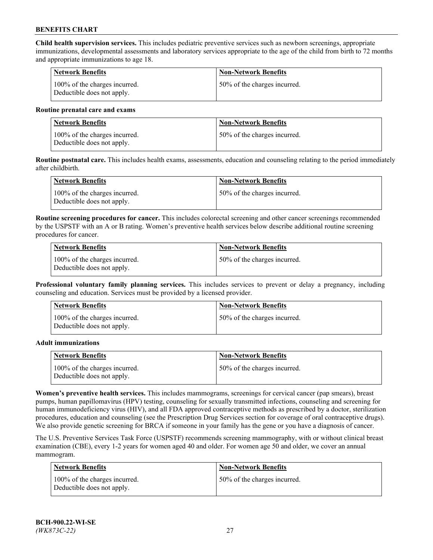**Child health supervision services.** This includes pediatric preventive services such as newborn screenings, appropriate immunizations, developmental assessments and laboratory services appropriate to the age of the child from birth to 72 months and appropriate immunizations to age 18.

| <b>Network Benefits</b>                                     | <b>Non-Network Benefits</b>  |
|-------------------------------------------------------------|------------------------------|
| 100% of the charges incurred.<br>Deductible does not apply. | 50% of the charges incurred. |

#### **Routine prenatal care and exams**

| Network Benefits                                            | <b>Non-Network Benefits</b>  |
|-------------------------------------------------------------|------------------------------|
| 100% of the charges incurred.<br>Deductible does not apply. | 50% of the charges incurred. |

**Routine postnatal care.** This includes health exams, assessments, education and counseling relating to the period immediately after childbirth.

| Network Benefits                                            | <b>Non-Network Benefits</b>  |
|-------------------------------------------------------------|------------------------------|
| 100% of the charges incurred.<br>Deductible does not apply. | 50% of the charges incurred. |

**Routine screening procedures for cancer.** This includes colorectal screening and other cancer screenings recommended by the USPSTF with an A or B rating. Women's preventive health services below describe additional routine screening procedures for cancer.

| <b>Network Benefits</b>                                     | <b>Non-Network Benefits</b>  |
|-------------------------------------------------------------|------------------------------|
| 100% of the charges incurred.<br>Deductible does not apply. | 50% of the charges incurred. |

**Professional voluntary family planning services.** This includes services to prevent or delay a pregnancy, including counseling and education. Services must be provided by a licensed provider.

| <b>Network Benefits</b>                                     | <b>Non-Network Benefits</b>  |
|-------------------------------------------------------------|------------------------------|
| 100% of the charges incurred.<br>Deductible does not apply. | 50% of the charges incurred. |

#### **Adult immunizations**

| <b>Network Benefits</b>                                     | <b>Non-Network Benefits</b>  |
|-------------------------------------------------------------|------------------------------|
| 100% of the charges incurred.<br>Deductible does not apply. | 50% of the charges incurred. |

**Women's preventive health services.** This includes mammograms, screenings for cervical cancer (pap smears), breast pumps, human papillomavirus (HPV) testing, counseling for sexually transmitted infections, counseling and screening for human immunodeficiency virus (HIV), and all FDA approved contraceptive methods as prescribed by a doctor, sterilization procedures, education and counseling (see the Prescription Drug Services section for coverage of oral contraceptive drugs). We also provide genetic screening for BRCA if someone in your family has the gene or you have a diagnosis of cancer.

The U.S. Preventive Services Task Force (USPSTF) recommends screening mammography, with or without clinical breast examination (CBE), every 1-2 years for women aged 40 and older. For women age 50 and older, we cover an annual mammogram.

| <b>Network Benefits</b>                                     | <b>Non-Network Benefits</b>  |
|-------------------------------------------------------------|------------------------------|
| 100% of the charges incurred.<br>Deductible does not apply. | 50% of the charges incurred. |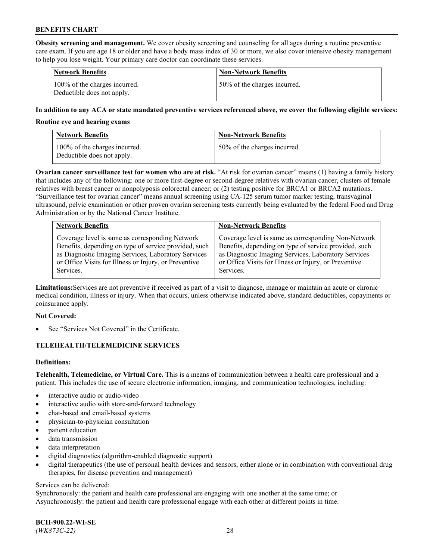**Obesity screening and management.** We cover obesity screening and counseling for all ages during a routine preventive care exam. If you are age 18 or older and have a body mass index of 30 or more, we also cover intensive obesity management to help you lose weight. Your primary care doctor can coordinate these services.

| <b>Network Benefits</b>                                     | <b>Non-Network Benefits</b>  |
|-------------------------------------------------------------|------------------------------|
| 100% of the charges incurred.<br>Deductible does not apply. | 50% of the charges incurred. |

### **In addition to any ACA or state mandated preventive services referenced above, we cover the following eligible services:**

#### **Routine eye and hearing exams**

| <b>Network Benefits</b>                                     | <b>Non-Network Benefits</b>  |
|-------------------------------------------------------------|------------------------------|
| 100% of the charges incurred.<br>Deductible does not apply. | 50% of the charges incurred. |

**Ovarian cancer surveillance test for women who are at risk.** "At risk for ovarian cancer" means (1) having a family history that includes any of the following: one or more first-degree or second-degree relatives with ovarian cancer, clusters of female relatives with breast cancer or nonpolyposis colorectal cancer; or (2) testing positive for BRCA1 or BRCA2 mutations. "Surveillance test for ovarian cancer" means annual screening using CA-125 serum tumor marker testing, transvaginal ultrasound, pelvic examination or other proven ovarian screening tests currently being evaluated by the federal Food and Drug Administration or by the National Cancer Institute.

| <b>Network Benefits</b>                               | <b>Non-Network Benefits</b>                           |
|-------------------------------------------------------|-------------------------------------------------------|
| Coverage level is same as corresponding Network       | Coverage level is same as corresponding Non-Network   |
| Benefits, depending on type of service provided, such | Benefits, depending on type of service provided, such |
| as Diagnostic Imaging Services, Laboratory Services   | as Diagnostic Imaging Services, Laboratory Services   |
| or Office Visits for Illness or Injury, or Preventive | or Office Visits for Illness or Injury, or Preventive |
| Services.                                             | Services.                                             |

**Limitations:**Services are not preventive if received as part of a visit to diagnose, manage or maintain an acute or chronic medical condition, illness or injury. When that occurs, unless otherwise indicated above, standard deductibles, copayments or coinsurance apply.

#### **Not Covered:**

See "Services Not Covered" in the Certificate.

## **TELEHEALTH/TELEMEDICINE SERVICES**

## **Definitions:**

**Telehealth, Telemedicine, or Virtual Care.** This is a means of communication between a health care professional and a patient. This includes the use of secure electronic information, imaging, and communication technologies, including:

- interactive audio or audio-video
- interactive audio with store-and-forward technology
- chat-based and email-based systems
- physician-to-physician consultation
- patient education
- data transmission
- data interpretation
- digital diagnostics (algorithm-enabled diagnostic support)
- digital therapeutics (the use of personal health devices and sensors, either alone or in combination with conventional drug therapies, for disease prevention and management)

#### Services can be delivered:

Synchronously: the patient and health care professional are engaging with one another at the same time; or Asynchronously: the patient and health care professional engage with each other at different points in time.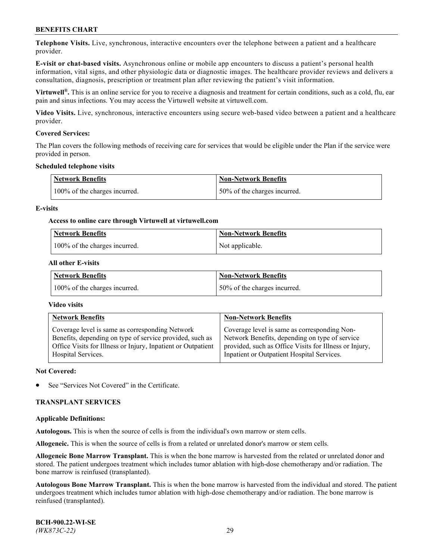**Telephone Visits.** Live, synchronous, interactive encounters over the telephone between a patient and a healthcare provider.

**E-visit or chat-based visits.** Asynchronous online or mobile app encounters to discuss a patient's personal health information, vital signs, and other physiologic data or diagnostic images. The healthcare provider reviews and delivers a consultation, diagnosis, prescription or treatment plan after reviewing the patient's visit information.

**Virtuwell®.** This is an online service for you to receive a diagnosis and treatment for certain conditions, such as a cold, flu, ear pain and sinus infections. You may access the Virtuwell website at [virtuwell.com.](https://www.virtuwell.com/)

**Video Visits.** Live, synchronous, interactive encounters using secure web-based video between a patient and a healthcare provider.

### **Covered Services:**

The Plan covers the following methods of receiving care for services that would be eligible under the Plan if the service were provided in person.

#### **Scheduled telephone visits**

| <b>Network Benefits</b>       | <b>Non-Network Benefits</b>  |
|-------------------------------|------------------------------|
| 100% of the charges incurred. | 50% of the charges incurred. |

### **E-visits**

### **Access to online care through Virtuwell at [virtuwell.com](https://www.virtuwell.com/)**

| Network Benefits              | <b>Non-Network Benefits</b> |
|-------------------------------|-----------------------------|
| 100% of the charges incurred. | Not applicable.             |

### **All other E-visits**

| <b>Network Benefits</b>       | <b>Non-Network Benefits</b>  |
|-------------------------------|------------------------------|
| 100% of the charges incurred. | 50% of the charges incurred. |

#### **Video visits**

| <b>Network Benefits</b>                                      | <b>Non-Network Benefits</b>                            |
|--------------------------------------------------------------|--------------------------------------------------------|
| Coverage level is same as corresponding Network              | Coverage level is same as corresponding Non-           |
| Benefits, depending on type of service provided, such as     | Network Benefits, depending on type of service         |
| Office Visits for Illness or Injury, Inpatient or Outpatient | provided, such as Office Visits for Illness or Injury, |
| Hospital Services.                                           | Inpatient or Outpatient Hospital Services.             |

#### **Not Covered:**

See "Services Not Covered" in the Certificate.

## **TRANSPLANT SERVICES**

#### **Applicable Definitions:**

**Autologous.** This is when the source of cells is from the individual's own marrow or stem cells.

**Allogeneic.** This is when the source of cells is from a related or unrelated donor's marrow or stem cells.

**Allogeneic Bone Marrow Transplant.** This is when the bone marrow is harvested from the related or unrelated donor and stored. The patient undergoes treatment which includes tumor ablation with high-dose chemotherapy and/or radiation. The bone marrow is reinfused (transplanted).

**Autologous Bone Marrow Transplant.** This is when the bone marrow is harvested from the individual and stored. The patient undergoes treatment which includes tumor ablation with high-dose chemotherapy and/or radiation. The bone marrow is reinfused (transplanted).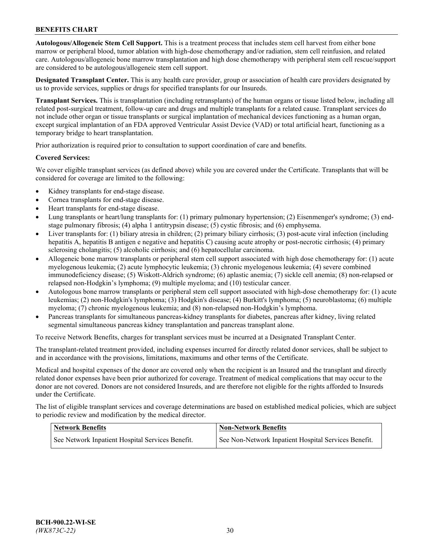**Autologous/Allogeneic Stem Cell Support.** This is a treatment process that includes stem cell harvest from either bone marrow or peripheral blood, tumor ablation with high-dose chemotherapy and/or radiation, stem cell reinfusion, and related care. Autologous/allogeneic bone marrow transplantation and high dose chemotherapy with peripheral stem cell rescue/support are considered to be autologous/allogeneic stem cell support.

**Designated Transplant Center.** This is any health care provider, group or association of health care providers designated by us to provide services, supplies or drugs for specified transplants for our Insureds.

**Transplant Services.** This is transplantation (including retransplants) of the human organs or tissue listed below, including all related post-surgical treatment, follow-up care and drugs and multiple transplants for a related cause. Transplant services do not include other organ or tissue transplants or surgical implantation of mechanical devices functioning as a human organ, except surgical implantation of an FDA approved Ventricular Assist Device (VAD) or total artificial heart, functioning as a temporary bridge to heart transplantation.

Prior authorization is required prior to consultation to support coordination of care and benefits.

### **Covered Services:**

We cover eligible transplant services (as defined above) while you are covered under the Certificate. Transplants that will be considered for coverage are limited to the following:

- Kidney transplants for end-stage disease.
- Cornea transplants for end-stage disease.
- Heart transplants for end-stage disease.
- Lung transplants or heart/lung transplants for: (1) primary pulmonary hypertension; (2) Eisenmenger's syndrome; (3) endstage pulmonary fibrosis; (4) alpha 1 antitrypsin disease; (5) cystic fibrosis; and (6) emphysema.
- Liver transplants for: (1) biliary atresia in children; (2) primary biliary cirrhosis; (3) post-acute viral infection (including hepatitis A, hepatitis B antigen e negative and hepatitis C) causing acute atrophy or post-necrotic cirrhosis; (4) primary sclerosing cholangitis; (5) alcoholic cirrhosis; and (6) hepatocellular carcinoma.
- Allogeneic bone marrow transplants or peripheral stem cell support associated with high dose chemotherapy for: (1) acute myelogenous leukemia; (2) acute lymphocytic leukemia; (3) chronic myelogenous leukemia; (4) severe combined immunodeficiency disease; (5) Wiskott-Aldrich syndrome; (6) aplastic anemia; (7) sickle cell anemia; (8) non-relapsed or relapsed non-Hodgkin's lymphoma; (9) multiple myeloma; and (10) testicular cancer.
- Autologous bone marrow transplants or peripheral stem cell support associated with high-dose chemotherapy for: (1) acute leukemias; (2) non-Hodgkin's lymphoma; (3) Hodgkin's disease; (4) Burkitt's lymphoma; (5) neuroblastoma; (6) multiple myeloma; (7) chronic myelogenous leukemia; and (8) non-relapsed non-Hodgkin's lymphoma.
- Pancreas transplants for simultaneous pancreas-kidney transplants for diabetes, pancreas after kidney, living related segmental simultaneous pancreas kidney transplantation and pancreas transplant alone.

To receive Network Benefits, charges for transplant services must be incurred at a Designated Transplant Center.

The transplant-related treatment provided, including expenses incurred for directly related donor services, shall be subject to and in accordance with the provisions, limitations, maximums and other terms of the Certificate.

Medical and hospital expenses of the donor are covered only when the recipient is an Insured and the transplant and directly related donor expenses have been prior authorized for coverage. Treatment of medical complications that may occur to the donor are not covered. Donors are not considered Insureds, and are therefore not eligible for the rights afforded to Insureds under the Certificate.

The list of eligible transplant services and coverage determinations are based on established medical policies, which are subject to periodic review and modification by the medical director.

| <b>Network Benefits</b>                          | <b>Non-Network Benefits</b>                          |
|--------------------------------------------------|------------------------------------------------------|
| See Network Inpatient Hospital Services Benefit. | See Non-Network Inpatient Hospital Services Benefit. |